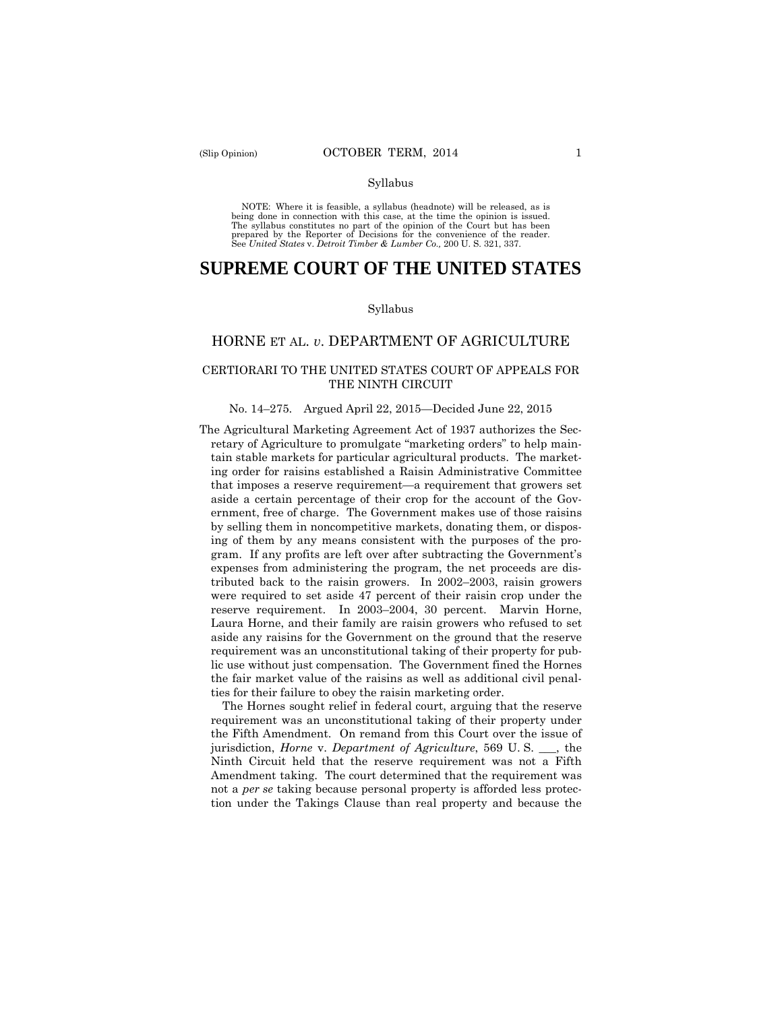#### Syllabus

 NOTE: Where it is feasible, a syllabus (headnote) will be released, as is being done in connection with this case, at the time the opinion is issued. The syllabus constitutes no part of the opinion of the Court but has been<br>prepared by the Reporter of Decisions for the convenience of the reader.<br>See United States v. Detroit Timber & Lumber Co., 200 U.S. 321, 337.

# **SUPREME COURT OF THE UNITED STATES**

#### Syllabus

# HORNE ET AL. *v*. DEPARTMENT OF AGRICULTURE

# CERTIORARI TO THE UNITED STATES COURT OF APPEALS FOR THE NINTH CIRCUIT

#### No. 14–275. Argued April 22, 2015—Decided June 22, 2015

The Agricultural Marketing Agreement Act of 1937 authorizes the Secretary of Agriculture to promulgate "marketing orders" to help maintain stable markets for particular agricultural products. The marketing order for raisins established a Raisin Administrative Committee that imposes a reserve requirement—a requirement that growers set aside a certain percentage of their crop for the account of the Government, free of charge. The Government makes use of those raisins by selling them in noncompetitive markets, donating them, or disposing of them by any means consistent with the purposes of the program. If any profits are left over after subtracting the Government's expenses from administering the program, the net proceeds are distributed back to the raisin growers. In 2002–2003, raisin growers were required to set aside 47 percent of their raisin crop under the reserve requirement. In 2003–2004, 30 percent. Marvin Horne, Laura Horne, and their family are raisin growers who refused to set aside any raisins for the Government on the ground that the reserve requirement was an unconstitutional taking of their property for public use without just compensation. The Government fined the Hornes the fair market value of the raisins as well as additional civil penalties for their failure to obey the raisin marketing order.

The Hornes sought relief in federal court, arguing that the reserve requirement was an unconstitutional taking of their property under the Fifth Amendment. On remand from this Court over the issue of jurisdiction, *Horne* v. *Department of Agriculture*, 569 U. S. \_\_\_, the Ninth Circuit held that the reserve requirement was not a Fifth Amendment taking. The court determined that the requirement was not a *per se* taking because personal property is afforded less protection under the Takings Clause than real property and because the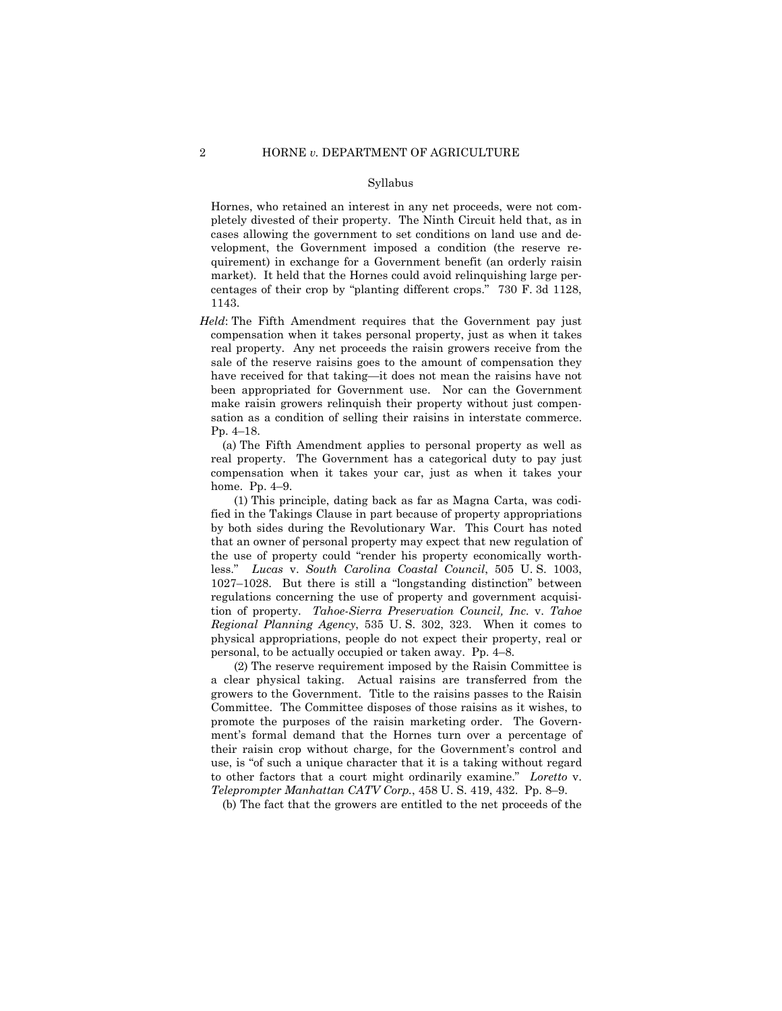#### Syllabus

Hornes, who retained an interest in any net proceeds, were not completely divested of their property. The Ninth Circuit held that, as in cases allowing the government to set conditions on land use and development, the Government imposed a condition (the reserve requirement) in exchange for a Government benefit (an orderly raisin market). It held that the Hornes could avoid relinquishing large percentages of their crop by "planting different crops." 730 F. 3d 1128, 1143.

*Held*: The Fifth Amendment requires that the Government pay just compensation when it takes personal property, just as when it takes real property. Any net proceeds the raisin growers receive from the sale of the reserve raisins goes to the amount of compensation they have received for that taking—it does not mean the raisins have not been appropriated for Government use. Nor can the Government make raisin growers relinquish their property without just compensation as a condition of selling their raisins in interstate commerce. Pp. 4–18.

(a) The Fifth Amendment applies to personal property as well as real property. The Government has a categorical duty to pay just compensation when it takes your car, just as when it takes your home. Pp. 4–9.

(1) This principle, dating back as far as Magna Carta, was codified in the Takings Clause in part because of property appropriations by both sides during the Revolutionary War. This Court has noted that an owner of personal property may expect that new regulation of the use of property could "render his property economically worthless." *Lucas* v. *South Carolina Coastal Council*, 505 U. S. 1003, 1027–1028. But there is still a "longstanding distinction" between regulations concerning the use of property and government acquisition of property. *Tahoe-Sierra Preservation Council, Inc.* v. *Tahoe Regional Planning Agency*, 535 U. S. 302, 323. When it comes to physical appropriations, people do not expect their property, real or personal, to be actually occupied or taken away. Pp. 4–8.

(2) The reserve requirement imposed by the Raisin Committee is a clear physical taking. Actual raisins are transferred from the growers to the Government. Title to the raisins passes to the Raisin Committee. The Committee disposes of those raisins as it wishes, to promote the purposes of the raisin marketing order. The Government's formal demand that the Hornes turn over a percentage of their raisin crop without charge, for the Government's control and use, is "of such a unique character that it is a taking without regard to other factors that a court might ordinarily examine." *Loretto* v. *Teleprompter Manhattan CATV Corp.*, 458 U. S. 419, 432. Pp. 8–9.

(b) The fact that the growers are entitled to the net proceeds of the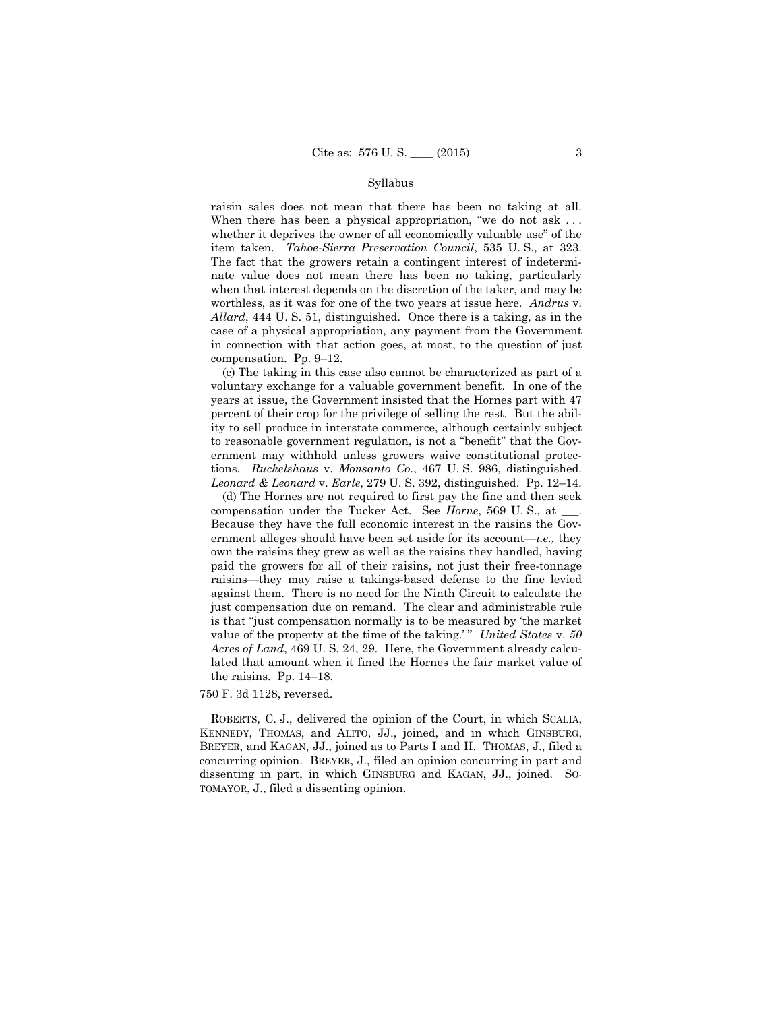#### Syllabus

 when that interest depends on the discretion of the taker, and may be raisin sales does not mean that there has been no taking at all. When there has been a physical appropriation, "we do not ask ... whether it deprives the owner of all economically valuable use" of the item taken. *Tahoe-Sierra Preservation Council*, 535 U. S., at 323. The fact that the growers retain a contingent interest of indeterminate value does not mean there has been no taking, particularly worthless, as it was for one of the two years at issue here. *Andrus* v. *Allard*, 444 U. S. 51, distinguished. Once there is a taking, as in the case of a physical appropriation, any payment from the Government in connection with that action goes, at most, to the question of just compensation. Pp. 9–12.

(c) The taking in this case also cannot be characterized as part of a voluntary exchange for a valuable government benefit. In one of the years at issue, the Government insisted that the Hornes part with 47 percent of their crop for the privilege of selling the rest. But the ability to sell produce in interstate commerce, although certainly subject to reasonable government regulation, is not a "benefit" that the Government may withhold unless growers waive constitutional protections. *Ruckelshaus* v. *Monsanto Co.*, 467 U. S. 986, distinguished. *Leonard & Leonard* v. *Earle*, 279 U. S. 392, distinguished. Pp. 12–14.

(d) The Hornes are not required to first pay the fine and then seek compensation under the Tucker Act. See *Horne*, 569 U. S., at \_\_\_. Because they have the full economic interest in the raisins the Government alleges should have been set aside for its account—*i.e.,* they own the raisins they grew as well as the raisins they handled, having paid the growers for all of their raisins, not just their free-tonnage raisins—they may raise a takings-based defense to the fine levied against them. There is no need for the Ninth Circuit to calculate the just compensation due on remand. The clear and administrable rule is that "just compensation normally is to be measured by 'the market value of the property at the time of the taking.'" *United States* v. 50 *Acres of Land*, 469 U. S. 24, 29. Here, the Government already calculated that amount when it fined the Hornes the fair market value of the raisins. Pp. 14–18.

750 F. 3d 1128, reversed.

ROBERTS, C. J., delivered the opinion of the Court, in which SCALIA, KENNEDY, THOMAS, and ALITO, JJ., joined, and in which GINSBURG, BREYER, and KAGAN, JJ., joined as to Parts I and II. THOMAS, J., filed a concurring opinion. BREYER, J., filed an opinion concurring in part and dissenting in part, in which GINSBURG and KAGAN, JJ., joined. SO-TOMAYOR, J., filed a dissenting opinion.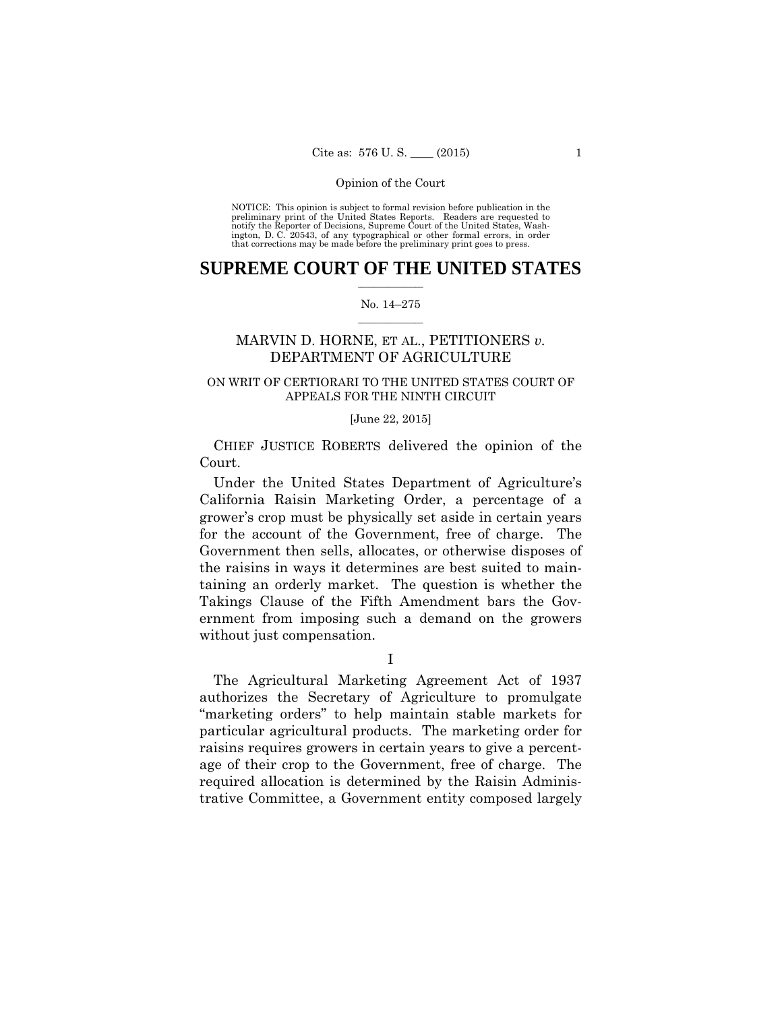preliminary print of the United States Reports. Readers are requested to notify the Reporter of Decisions, Supreme Court of the United States, Wash- ington, D. C. 20543, of any typographical or other formal errors, in order that corrections may be made before the preliminary print goes to press. NOTICE: This opinion is subject to formal revision before publication in the

# $\frac{1}{2}$  ,  $\frac{1}{2}$  ,  $\frac{1}{2}$  ,  $\frac{1}{2}$  ,  $\frac{1}{2}$  ,  $\frac{1}{2}$  ,  $\frac{1}{2}$ **SUPREME COURT OF THE UNITED STATES**

# $\frac{1}{2}$  ,  $\frac{1}{2}$  ,  $\frac{1}{2}$  ,  $\frac{1}{2}$  ,  $\frac{1}{2}$  ,  $\frac{1}{2}$ No. 14–275

# MARVIN D. HORNE, ET AL., PETITIONERS *v.* DEPARTMENT OF AGRICULTURE

# ON WRIT OF CERTIORARI TO THE UNITED STATES COURT OF APPEALS FOR THE NINTH CIRCUIT

# [June 22, 2015]

CHIEF JUSTICE ROBERTS delivered the opinion of the Court.

Under the United States Department of Agriculture's California Raisin Marketing Order, a percentage of a grower's crop must be physically set aside in certain years for the account of the Government, free of charge. The Government then sells, allocates, or otherwise disposes of the raisins in ways it determines are best suited to maintaining an orderly market. The question is whether the Takings Clause of the Fifth Amendment bars the Government from imposing such a demand on the growers without just compensation.

I

The Agricultural Marketing Agreement Act of 1937 authorizes the Secretary of Agriculture to promulgate "marketing orders" to help maintain stable markets for particular agricultural products. The marketing order for raisins requires growers in certain years to give a percentage of their crop to the Government, free of charge. The required allocation is determined by the Raisin Administrative Committee, a Government entity composed largely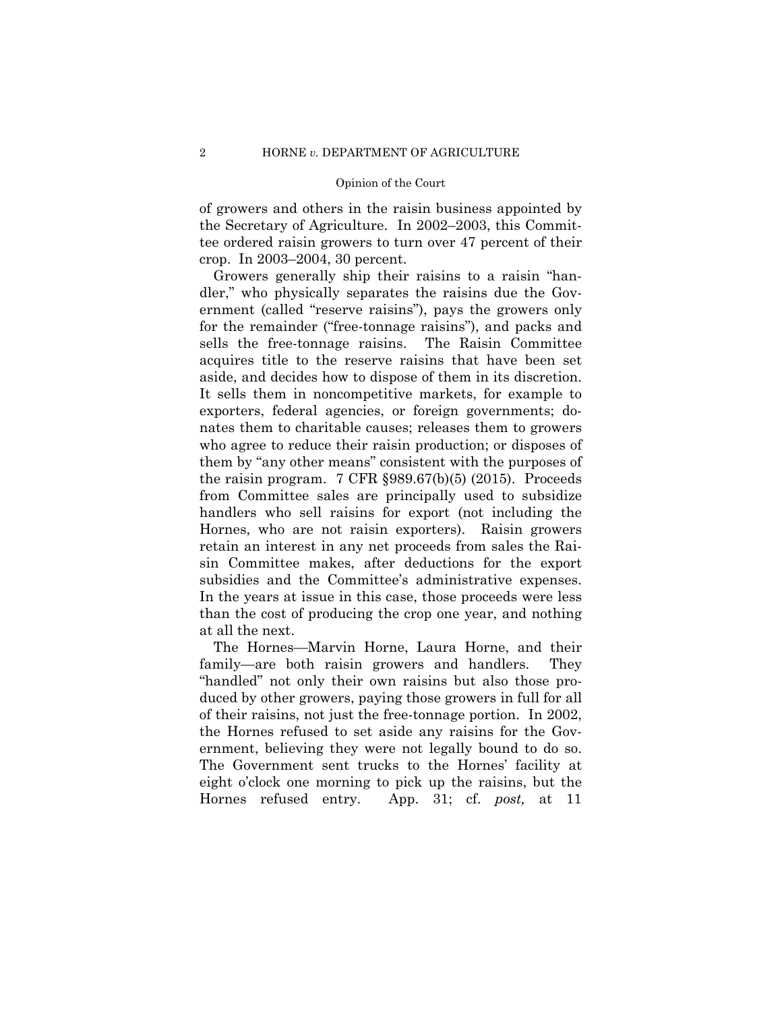of growers and others in the raisin business appointed by the Secretary of Agriculture. In 2002–2003, this Committee ordered raisin growers to turn over 47 percent of their crop. In 2003–2004, 30 percent.

Growers generally ship their raisins to a raisin "handler," who physically separates the raisins due the Government (called "reserve raisins"), pays the growers only for the remainder ("free-tonnage raisins"), and packs and sells the free-tonnage raisins. The Raisin Committee acquires title to the reserve raisins that have been set aside, and decides how to dispose of them in its discretion. It sells them in noncompetitive markets, for example to exporters, federal agencies, or foreign governments; donates them to charitable causes; releases them to growers who agree to reduce their raisin production; or disposes of them by "any other means" consistent with the purposes of the raisin program.  $7 \text{ CFR } $989.67(b)(5) (2015)$ . Proceeds from Committee sales are principally used to subsidize handlers who sell raisins for export (not including the Hornes, who are not raisin exporters). Raisin growers retain an interest in any net proceeds from sales the Raisin Committee makes, after deductions for the export subsidies and the Committee's administrative expenses. In the years at issue in this case, those proceeds were less than the cost of producing the crop one year, and nothing at all the next.

The Hornes—Marvin Horne, Laura Horne, and their family—are both raisin growers and handlers. They "handled" not only their own raisins but also those produced by other growers, paying those growers in full for all of their raisins, not just the free-tonnage portion. In 2002, the Hornes refused to set aside any raisins for the Government, believing they were not legally bound to do so. The Government sent trucks to the Hornes' facility at eight o'clock one morning to pick up the raisins, but the Hornes refused entry. App. 31; cf. *post,* at 11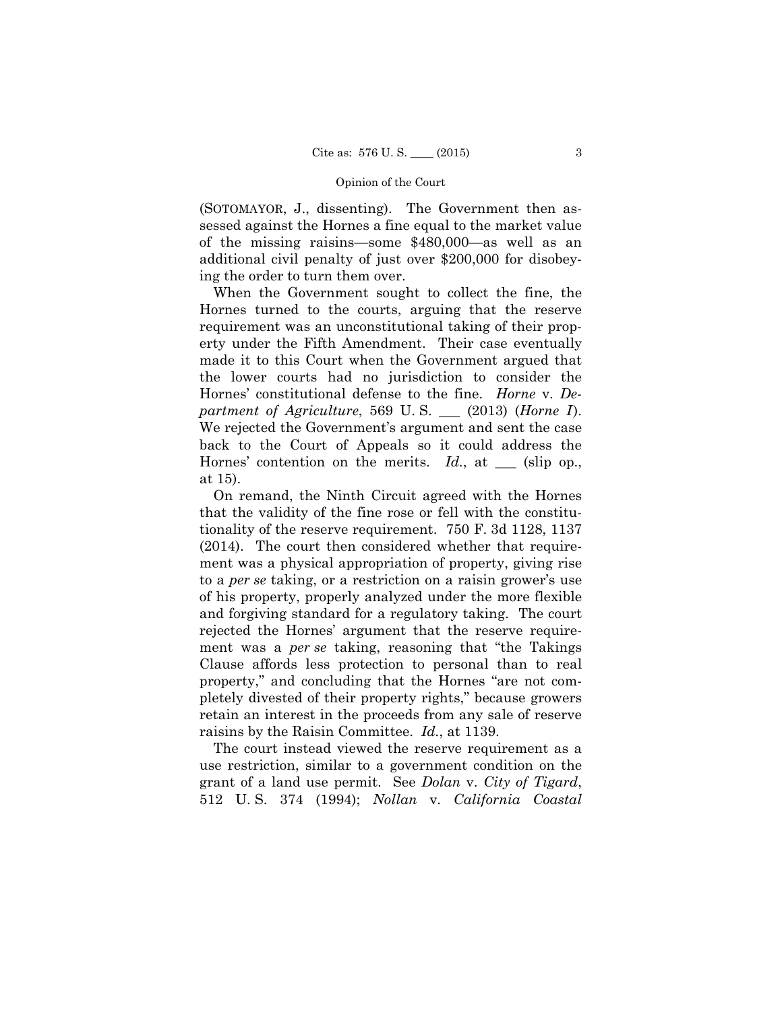(SOTOMAYOR, J., dissenting). The Government then assessed against the Hornes a fine equal to the market value of the missing raisins—some \$480,000—as well as an additional civil penalty of just over \$200,000 for disobeying the order to turn them over.

When the Government sought to collect the fine, the Hornes turned to the courts, arguing that the reserve requirement was an unconstitutional taking of their property under the Fifth Amendment. Their case eventually made it to this Court when the Government argued that the lower courts had no jurisdiction to consider the Hornes' constitutional defense to the fine. *Horne* v. *Department of Agriculture*, 569 U.S. \_\_\_ (2013) (*Horne I*). We rejected the Government's argument and sent the case back to the Court of Appeals so it could address the Hornes' contention on the merits. *Id.*, at \_\_\_ (slip op., at 15).

On remand, the Ninth Circuit agreed with the Hornes that the validity of the fine rose or fell with the constitutionality of the reserve requirement. 750 F. 3d 1128, 1137 (2014). The court then considered whether that requirement was a physical appropriation of property, giving rise to a *per se* taking, or a restriction on a raisin grower's use of his property, properly analyzed under the more flexible and forgiving standard for a regulatory taking. The court rejected the Hornes' argument that the reserve requirement was a *per se* taking, reasoning that "the Takings Clause affords less protection to personal than to real property," and concluding that the Hornes "are not completely divested of their property rights," because growers retain an interest in the proceeds from any sale of reserve raisins by the Raisin Committee. *Id.*, at 1139.

The court instead viewed the reserve requirement as a use restriction, similar to a government condition on the grant of a land use permit. See *Dolan* v. *City of Tigard*, 512 U. S. 374 (1994); *Nollan* v. *California Coastal*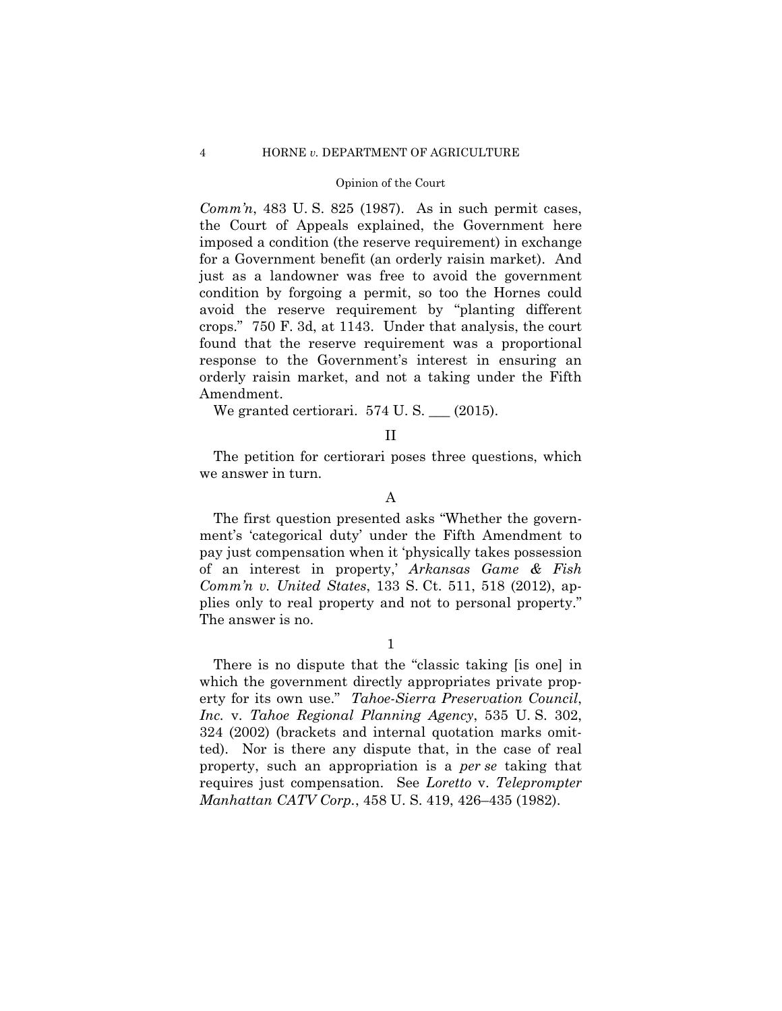# 4 HORNE *v.* DEPARTMENT OF AGRICULTURE

## Opinion of the Court

*Comm'n*, 483 U. S. 825 (1987). As in such permit cases, the Court of Appeals explained, the Government here imposed a condition (the reserve requirement) in exchange for a Government benefit (an orderly raisin market). And just as a landowner was free to avoid the government condition by forgoing a permit, so too the Hornes could avoid the reserve requirement by "planting different crops." 750 F. 3d, at 1143. Under that analysis, the court found that the reserve requirement was a proportional response to the Government's interest in ensuring an orderly raisin market, and not a taking under the Fifth Amendment.

We granted certiorari.  $574$  U.S.  $\qquad$  (2015).

II

The petition for certiorari poses three questions, which we answer in turn.

A

The first question presented asks "Whether the government's 'categorical duty' under the Fifth Amendment to pay just compensation when it 'physically takes possession of an interest in property,' *Arkansas Game & Fish Comm'n v. United States*, 133 S. Ct. 511, 518 (2012), applies only to real property and not to personal property." The answer is no.

1

There is no dispute that the "classic taking [is one] in which the government directly appropriates private property for its own use." *Tahoe-Sierra Preservation Council*, *Inc.* v. *Tahoe Regional Planning Agency*, 535 U. S. 302, 324 (2002) (brackets and internal quotation marks omitted). Nor is there any dispute that, in the case of real property, such an appropriation is a *per se* taking that requires just compensation. See *Loretto* v. *Teleprompter Manhattan CATV Corp.*, 458 U. S. 419, 426–435 (1982).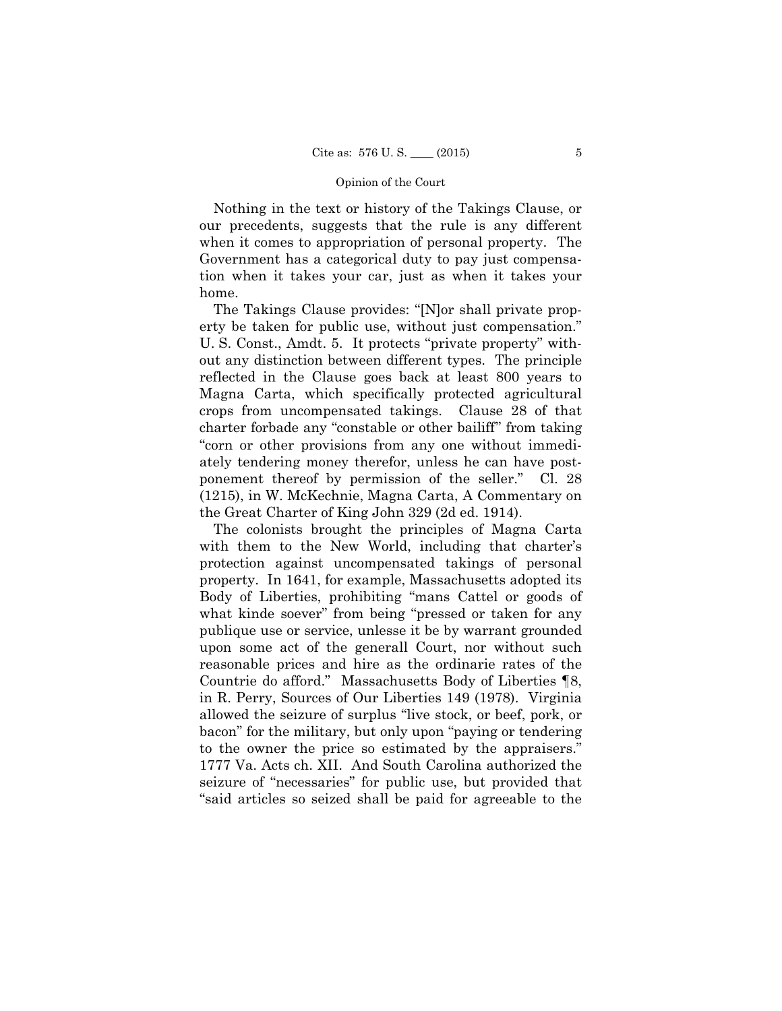Nothing in the text or history of the Takings Clause, or our precedents, suggests that the rule is any different when it comes to appropriation of personal property. The Government has a categorical duty to pay just compensation when it takes your car, just as when it takes your home.

The Takings Clause provides: "[N]or shall private property be taken for public use, without just compensation." U. S. Const., Amdt. 5. It protects "private property" without any distinction between different types. The principle reflected in the Clause goes back at least 800 years to Magna Carta, which specifically protected agricultural crops from uncompensated takings. Clause 28 of that charter forbade any "constable or other bailiff" from taking "corn or other provisions from any one without immediately tendering money therefor, unless he can have postponement thereof by permission of the seller." Cl. 28 (1215), in W. McKechnie, Magna Carta, A Commentary on the Great Charter of King John 329 (2d ed. 1914).

The colonists brought the principles of Magna Carta with them to the New World, including that charter's protection against uncompensated takings of personal property. In 1641, for example, Massachusetts adopted its Body of Liberties, prohibiting "mans Cattel or goods of what kinde soever" from being "pressed or taken for any publique use or service, unlesse it be by warrant grounded upon some act of the generall Court, nor without such reasonable prices and hire as the ordinarie rates of the Countrie do afford." Massachusetts Body of Liberties ¶8, in R. Perry, Sources of Our Liberties 149 (1978). Virginia allowed the seizure of surplus "live stock, or beef, pork, or bacon" for the military, but only upon "paying or tendering to the owner the price so estimated by the appraisers." 1777 Va. Acts ch. XII. And South Carolina authorized the seizure of "necessaries" for public use, but provided that "said articles so seized shall be paid for agreeable to the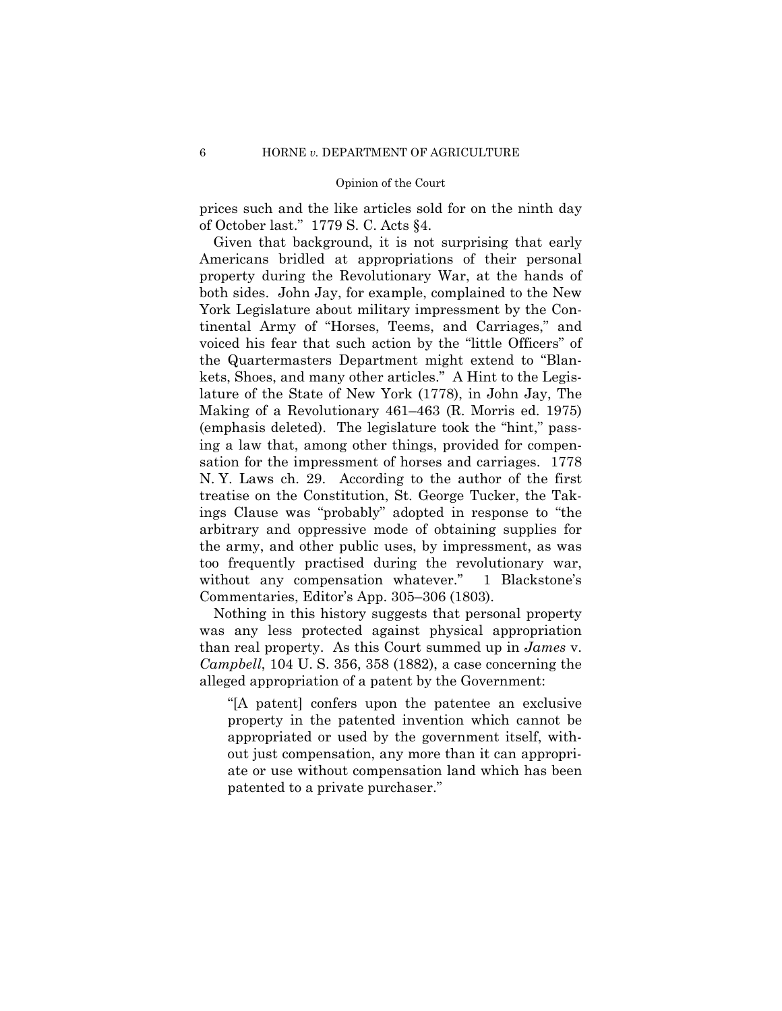prices such and the like articles sold for on the ninth day of October last." 1779 S. C. Acts §4.

Given that background, it is not surprising that early Americans bridled at appropriations of their personal property during the Revolutionary War, at the hands of both sides. John Jay, for example, complained to the New York Legislature about military impressment by the Continental Army of "Horses, Teems, and Carriages," and voiced his fear that such action by the "little Officers" of the Quartermasters Department might extend to "Blankets, Shoes, and many other articles." A Hint to the Legislature of the State of New York (1778), in John Jay, The Making of a Revolutionary 461–463 (R. Morris ed. 1975) (emphasis deleted). The legislature took the "hint," passing a law that, among other things, provided for compensation for the impressment of horses and carriages. 1778 N. Y. Laws ch. 29. According to the author of the first treatise on the Constitution, St. George Tucker, the Takings Clause was "probably" adopted in response to "the arbitrary and oppressive mode of obtaining supplies for the army, and other public uses, by impressment, as was too frequently practised during the revolutionary war, without any compensation whatever." 1 Blackstone's Commentaries, Editor's App. 305–306 (1803).

Nothing in this history suggests that personal property was any less protected against physical appropriation than real property. As this Court summed up in *James* v. *Campbell*, 104 U. S. 356, 358 (1882), a case concerning the alleged appropriation of a patent by the Government:

"[A patent] confers upon the patentee an exclusive property in the patented invention which cannot be appropriated or used by the government itself, without just compensation, any more than it can appropriate or use without compensation land which has been patented to a private purchaser."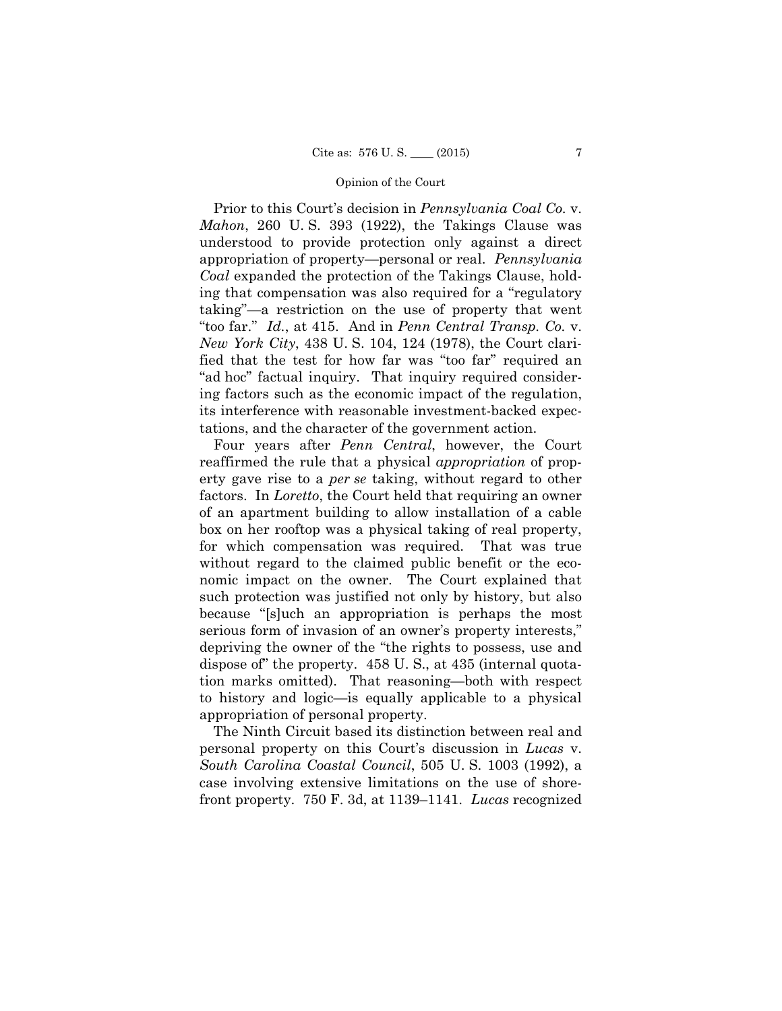Prior to this Court's decision in *Pennsylvania Coal Co.* v. *Mahon*, 260 U. S. 393 (1922), the Takings Clause was understood to provide protection only against a direct appropriation of property—personal or real. *Pennsylvania Coal* expanded the protection of the Takings Clause, holding that compensation was also required for a "regulatory taking"—a restriction on the use of property that went "too far." *Id.*, at 415. And in *Penn Central Transp. Co.* v. *New York City*, 438 U. S. 104, 124 (1978), the Court clarified that the test for how far was "too far" required an "ad hoc" factual inquiry. That inquiry required considering factors such as the economic impact of the regulation, its interference with reasonable investment-backed expectations, and the character of the government action.

Four years after *Penn Central*, however, the Court reaffirmed the rule that a physical *appropriation* of property gave rise to a *per se* taking, without regard to other factors. In *Loretto*, the Court held that requiring an owner of an apartment building to allow installation of a cable box on her rooftop was a physical taking of real property, for which compensation was required. That was true without regard to the claimed public benefit or the economic impact on the owner. The Court explained that such protection was justified not only by history, but also because "[s]uch an appropriation is perhaps the most serious form of invasion of an owner's property interests," depriving the owner of the "the rights to possess, use and dispose of" the property. 458 U. S., at 435 (internal quotation marks omitted). That reasoning—both with respect to history and logic—is equally applicable to a physical appropriation of personal property.

The Ninth Circuit based its distinction between real and personal property on this Court's discussion in *Lucas* v. *South Carolina Coastal Council*, 505 U. S. 1003 (1992), a case involving extensive limitations on the use of shorefront property. 750 F. 3d, at 1139–1141. *Lucas* recognized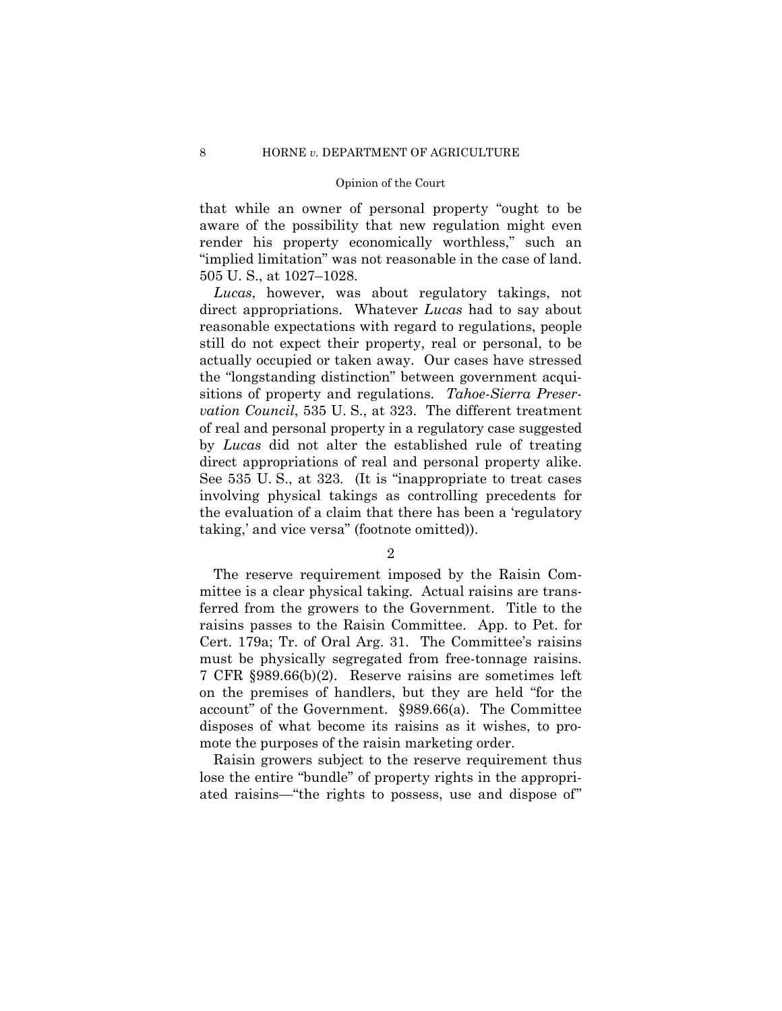that while an owner of personal property "ought to be aware of the possibility that new regulation might even render his property economically worthless," such an "implied limitation" was not reasonable in the case of land. 505 U. S., at 1027–1028.

*Lucas*, however, was about regulatory takings, not direct appropriations. Whatever *Lucas* had to say about reasonable expectations with regard to regulations, people still do not expect their property, real or personal, to be actually occupied or taken away. Our cases have stressed the "longstanding distinction" between government acquisitions of property and regulations. *Tahoe-Sierra Preservation Council*, 535 U. S., at 323. The different treatment of real and personal property in a regulatory case suggested by *Lucas* did not alter the established rule of treating direct appropriations of real and personal property alike. See 535 U. S., at 323*.* (It is "inappropriate to treat cases involving physical takings as controlling precedents for the evaluation of a claim that there has been a 'regulatory taking,' and vice versa" (footnote omitted)).

The reserve requirement imposed by the Raisin Committee is a clear physical taking. Actual raisins are transferred from the growers to the Government. Title to the raisins passes to the Raisin Committee. App. to Pet. for Cert. 179a; Tr. of Oral Arg. 31. The Committee's raisins must be physically segregated from free-tonnage raisins. 7 CFR §989.66(b)(2). Reserve raisins are sometimes left on the premises of handlers, but they are held "for the account" of the Government. §989.66(a). The Committee disposes of what become its raisins as it wishes, to promote the purposes of the raisin marketing order.

Raisin growers subject to the reserve requirement thus lose the entire "bundle" of property rights in the appropriated raisins—"the rights to possess, use and dispose of"

<sup>2</sup>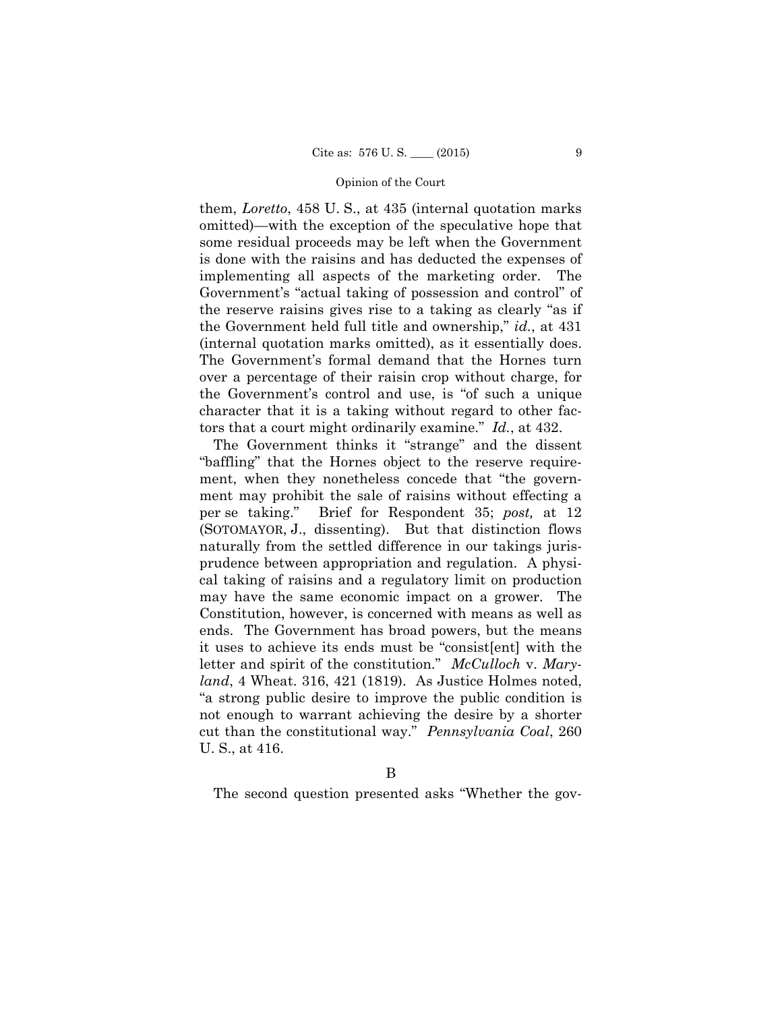them, *Loretto*, 458 U. S., at 435 (internal quotation marks omitted)—with the exception of the speculative hope that some residual proceeds may be left when the Government is done with the raisins and has deducted the expenses of implementing all aspects of the marketing order. The Government's "actual taking of possession and control" of the reserve raisins gives rise to a taking as clearly "as if the Government held full title and ownership," *id.*, at 431 (internal quotation marks omitted), as it essentially does. The Government's formal demand that the Hornes turn over a percentage of their raisin crop without charge, for the Government's control and use, is "of such a unique character that it is a taking without regard to other factors that a court might ordinarily examine." *Id.*, at 432.

The Government thinks it "strange" and the dissent "baffling" that the Hornes object to the reserve requirement, when they nonetheless concede that "the government may prohibit the sale of raisins without effecting a per se taking." Brief for Respondent 35; *post,* at 12 (SOTOMAYOR, J., dissenting). But that distinction flows naturally from the settled difference in our takings jurisprudence between appropriation and regulation. A physical taking of raisins and a regulatory limit on production may have the same economic impact on a grower. The Constitution, however, is concerned with means as well as ends. The Government has broad powers, but the means it uses to achieve its ends must be "consist[ent] with the letter and spirit of the constitution." *McCulloch* v. *Maryland*, 4 Wheat. 316, 421 (1819). As Justice Holmes noted, "a strong public desire to improve the public condition is not enough to warrant achieving the desire by a shorter cut than the constitutional way." *Pennsylvania Coal*, 260 U. S., at 416.

B

The second question presented asks "Whether the gov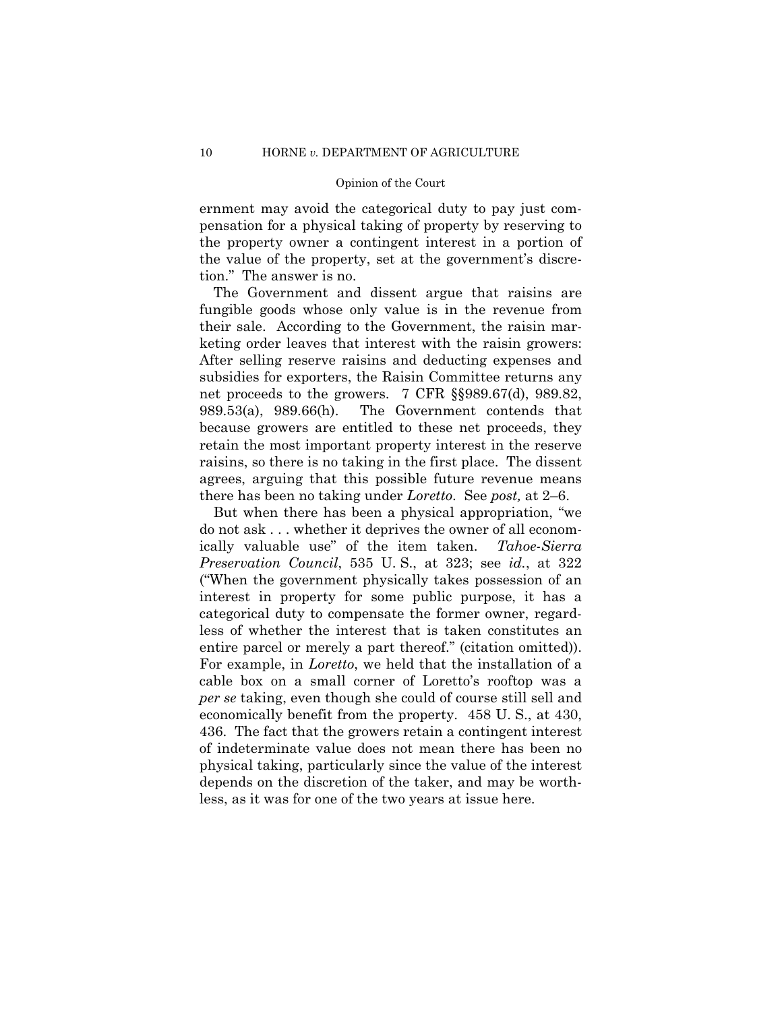ernment may avoid the categorical duty to pay just compensation for a physical taking of property by reserving to the property owner a contingent interest in a portion of the value of the property, set at the government's discretion." The answer is no.

The Government and dissent argue that raisins are fungible goods whose only value is in the revenue from their sale. According to the Government, the raisin marketing order leaves that interest with the raisin growers: After selling reserve raisins and deducting expenses and subsidies for exporters, the Raisin Committee returns any net proceeds to the growers. 7 CFR §§989.67(d), 989.82, 989.53(a), 989.66(h). The Government contends that because growers are entitled to these net proceeds, they retain the most important property interest in the reserve raisins, so there is no taking in the first place. The dissent agrees, arguing that this possible future revenue means there has been no taking under *Loretto*. See *post,* at 2–6.

But when there has been a physical appropriation, "we do not ask . . . whether it deprives the owner of all economically valuable use" of the item taken. *Tahoe-Sierra Preservation Council*, 535 U. S., at 323; see *id.*, at 322 ("When the government physically takes possession of an interest in property for some public purpose, it has a categorical duty to compensate the former owner, regardless of whether the interest that is taken constitutes an entire parcel or merely a part thereof." (citation omitted)). For example, in *Loretto*, we held that the installation of a cable box on a small corner of Loretto's rooftop was a *per se* taking, even though she could of course still sell and economically benefit from the property. 458 U. S., at 430, 436. The fact that the growers retain a contingent interest of indeterminate value does not mean there has been no physical taking, particularly since the value of the interest depends on the discretion of the taker, and may be worthless, as it was for one of the two years at issue here.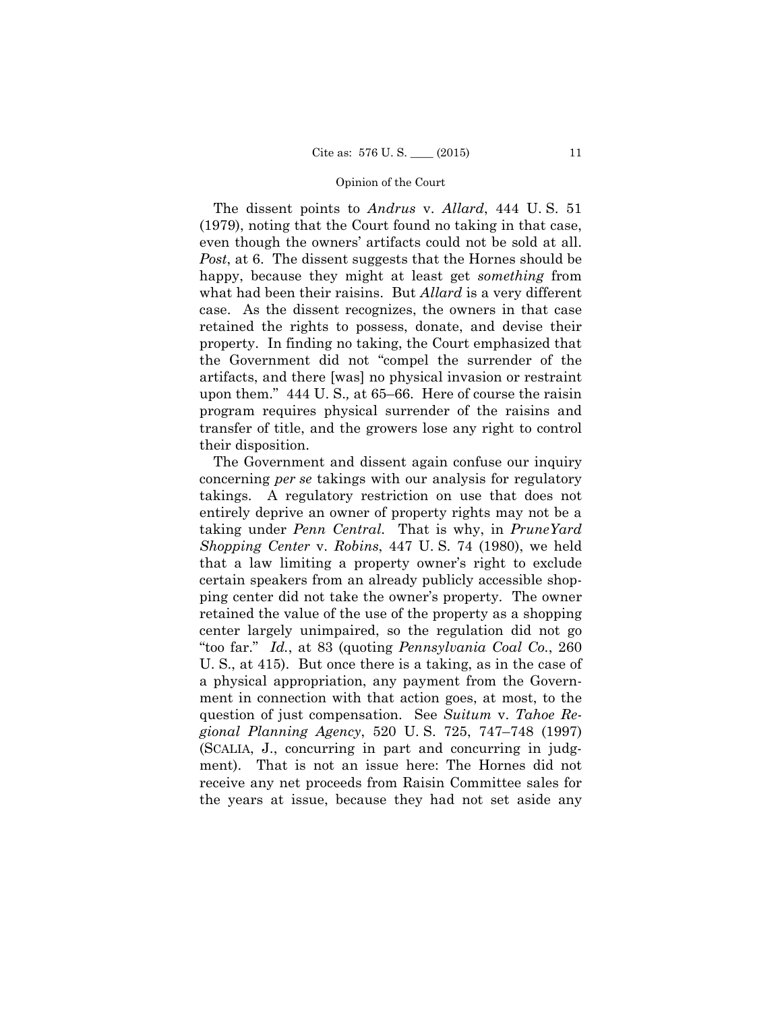The dissent points to *Andrus* v. *Allard*, 444 U. S. 51 (1979), noting that the Court found no taking in that case, even though the owners' artifacts could not be sold at all. *Post*, at 6. The dissent suggests that the Hornes should be happy, because they might at least get *something* from what had been their raisins. But *Allard* is a very different case. As the dissent recognizes, the owners in that case retained the rights to possess, donate, and devise their property. In finding no taking, the Court emphasized that the Government did not "compel the surrender of the artifacts, and there [was] no physical invasion or restraint upon them." 444 U. S.*,* at 65–66. Here of course the raisin program requires physical surrender of the raisins and transfer of title, and the growers lose any right to control their disposition.

 "too far." *Id.*, at 83 (quoting *Pennsylvania Coal Co.*, 260 The Government and dissent again confuse our inquiry concerning *per se* takings with our analysis for regulatory takings. A regulatory restriction on use that does not entirely deprive an owner of property rights may not be a taking under *Penn Central*. That is why, in *PruneYard Shopping Center* v. *Robins*, 447 U. S. 74 (1980), we held that a law limiting a property owner's right to exclude certain speakers from an already publicly accessible shopping center did not take the owner's property. The owner retained the value of the use of the property as a shopping center largely unimpaired, so the regulation did not go U. S., at 415). But once there is a taking, as in the case of a physical appropriation, any payment from the Government in connection with that action goes, at most, to the question of just compensation. See *Suitum* v. *Tahoe Regional Planning Agency*, 520 U. S. 725, 747–748 (1997) (SCALIA, J., concurring in part and concurring in judgment). That is not an issue here: The Hornes did not receive any net proceeds from Raisin Committee sales for the years at issue, because they had not set aside any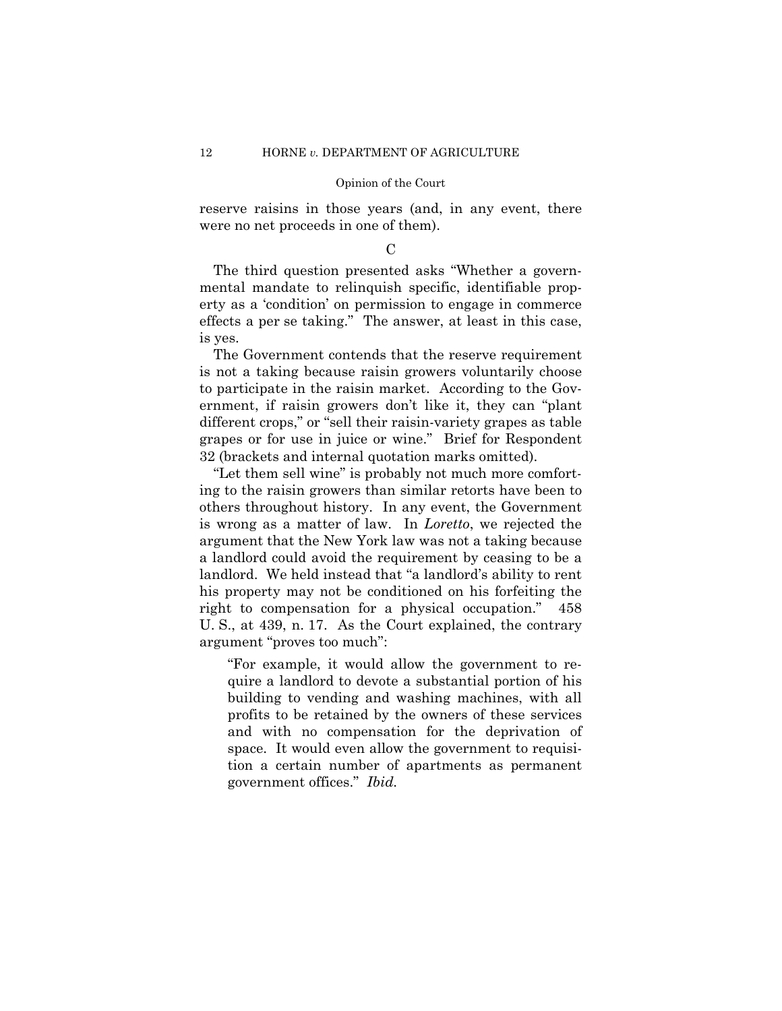reserve raisins in those years (and, in any event, there were no net proceeds in one of them).

 $\mathcal{C}$ 

The third question presented asks "Whether a governmental mandate to relinquish specific, identifiable property as a 'condition' on permission to engage in commerce effects a per se taking." The answer, at least in this case, is yes.

The Government contends that the reserve requirement is not a taking because raisin growers voluntarily choose to participate in the raisin market. According to the Government, if raisin growers don't like it, they can "plant different crops," or "sell their raisin-variety grapes as table grapes or for use in juice or wine." Brief for Respondent 32 (brackets and internal quotation marks omitted).

"Let them sell wine" is probably not much more comforting to the raisin growers than similar retorts have been to others throughout history. In any event, the Government is wrong as a matter of law. In *Loretto*, we rejected the argument that the New York law was not a taking because a landlord could avoid the requirement by ceasing to be a landlord. We held instead that "a landlord's ability to rent his property may not be conditioned on his forfeiting the right to compensation for a physical occupation." 458 U. S., at 439, n. 17. As the Court explained, the contrary argument "proves too much":

"For example, it would allow the government to require a landlord to devote a substantial portion of his building to vending and washing machines, with all profits to be retained by the owners of these services and with no compensation for the deprivation of space. It would even allow the government to requisition a certain number of apartments as permanent government offices." *Ibid.*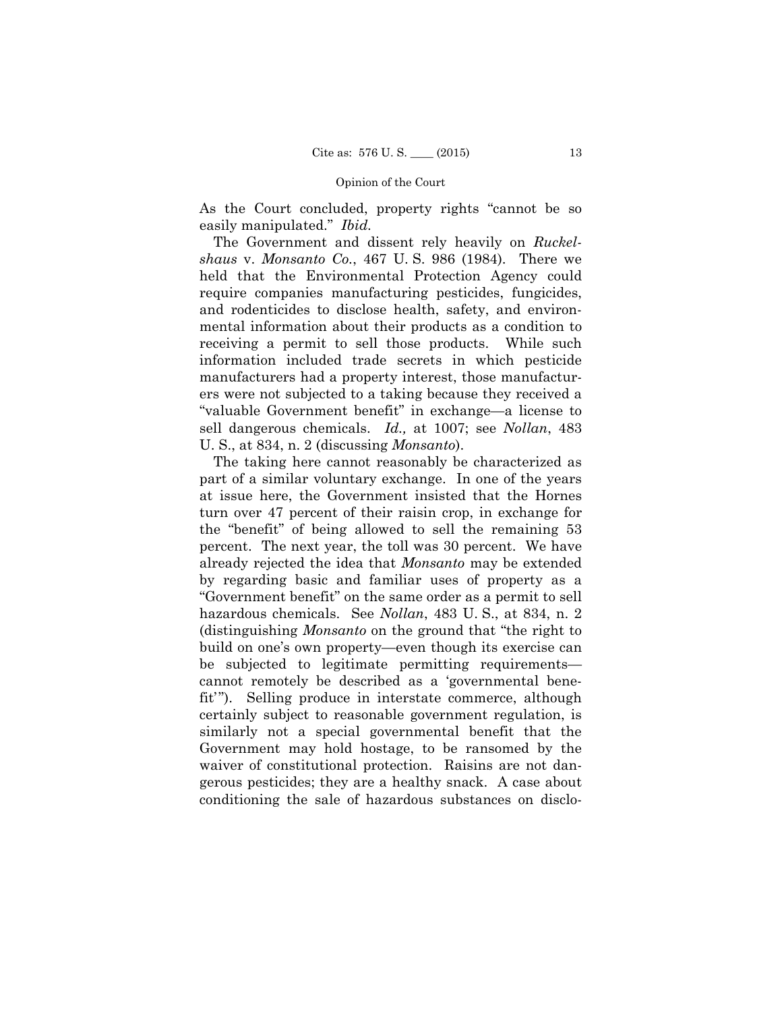As the Court concluded, property rights "cannot be so easily manipulated." *Ibid.* 

The Government and dissent rely heavily on *Ruckelshaus* v. *Monsanto Co.*, 467 U. S. 986 (1984). There we held that the Environmental Protection Agency could require companies manufacturing pesticides, fungicides, and rodenticides to disclose health, safety, and environmental information about their products as a condition to receiving a permit to sell those products. While such information included trade secrets in which pesticide manufacturers had a property interest, those manufacturers were not subjected to a taking because they received a "valuable Government benefit" in exchange—a license to sell dangerous chemicals. *Id.,* at 1007; see *Nollan*, 483 U. S., at 834, n. 2 (discussing *Monsanto*).

The taking here cannot reasonably be characterized as part of a similar voluntary exchange. In one of the years at issue here, the Government insisted that the Hornes turn over 47 percent of their raisin crop, in exchange for the "benefit" of being allowed to sell the remaining 53 percent. The next year, the toll was 30 percent. We have already rejected the idea that *Monsanto* may be extended by regarding basic and familiar uses of property as a "Government benefit" on the same order as a permit to sell hazardous chemicals. See *Nollan*, 483 U. S., at 834, n. 2 (distinguishing *Monsanto* on the ground that "the right to build on one's own property—even though its exercise can be subjected to legitimate permitting requirements cannot remotely be described as a 'governmental benefit'"). Selling produce in interstate commerce, although certainly subject to reasonable government regulation, is similarly not a special governmental benefit that the Government may hold hostage, to be ransomed by the waiver of constitutional protection. Raisins are not dangerous pesticides; they are a healthy snack. A case about conditioning the sale of hazardous substances on disclo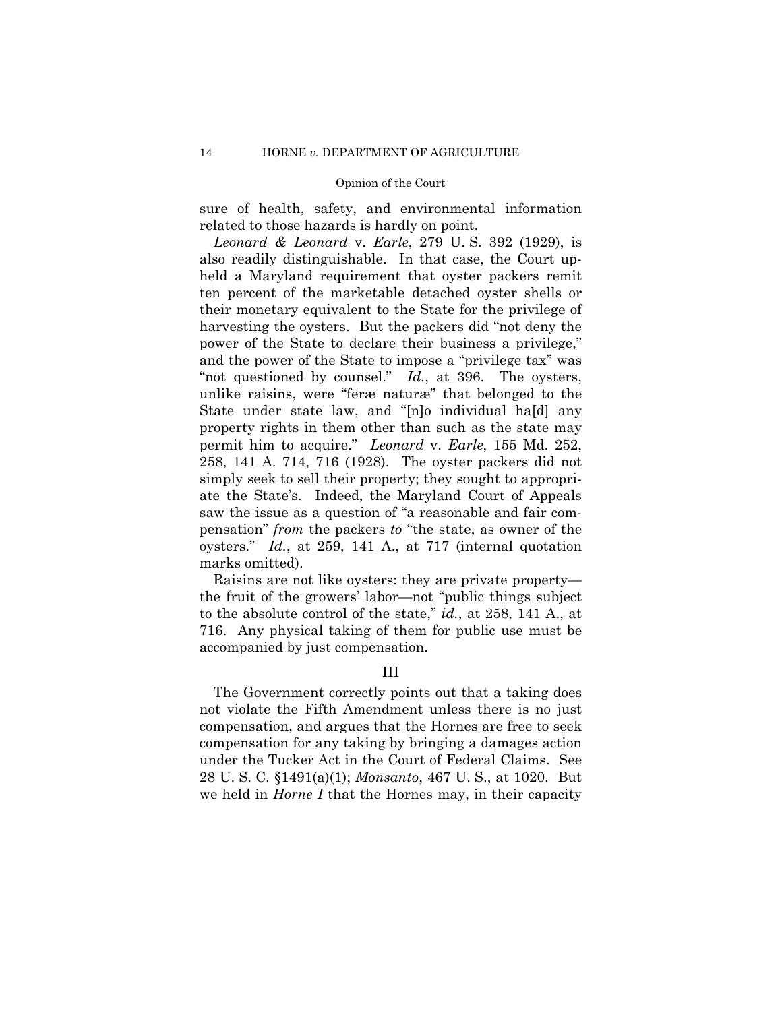sure of health, safety, and environmental information related to those hazards is hardly on point.

 permit him to acquire." *Leonard* v. *Earle*, 155 Md. 252, *Leonard & Leonard* v. *Earle*, 279 U. S. 392 (1929), is also readily distinguishable. In that case, the Court upheld a Maryland requirement that oyster packers remit ten percent of the marketable detached oyster shells or their monetary equivalent to the State for the privilege of harvesting the oysters. But the packers did "not deny the power of the State to declare their business a privilege," and the power of the State to impose a "privilege tax" was "not questioned by counsel." *Id.*, at 396. The oysters, unlike raisins, were "feræ naturæ" that belonged to the State under state law, and "[n]o individual ha[d] any property rights in them other than such as the state may 258, 141 A. 714, 716 (1928). The oyster packers did not simply seek to sell their property; they sought to appropriate the State's. Indeed, the Maryland Court of Appeals saw the issue as a question of "a reasonable and fair compensation" *from* the packers *to* "the state, as owner of the oysters." *Id.*, at 259, 141 A., at 717 (internal quotation marks omitted).

Raisins are not like oysters: they are private property the fruit of the growers' labor—not "public things subject to the absolute control of the state," *id.*, at 258, 141 A., at 716. Any physical taking of them for public use must be accompanied by just compensation.

# III

The Government correctly points out that a taking does not violate the Fifth Amendment unless there is no just compensation, and argues that the Hornes are free to seek compensation for any taking by bringing a damages action under the Tucker Act in the Court of Federal Claims. See 28 U. S. C. §1491(a)(1); *Monsanto*, 467 U. S., at 1020. But we held in *Horne I* that the Hornes may, in their capacity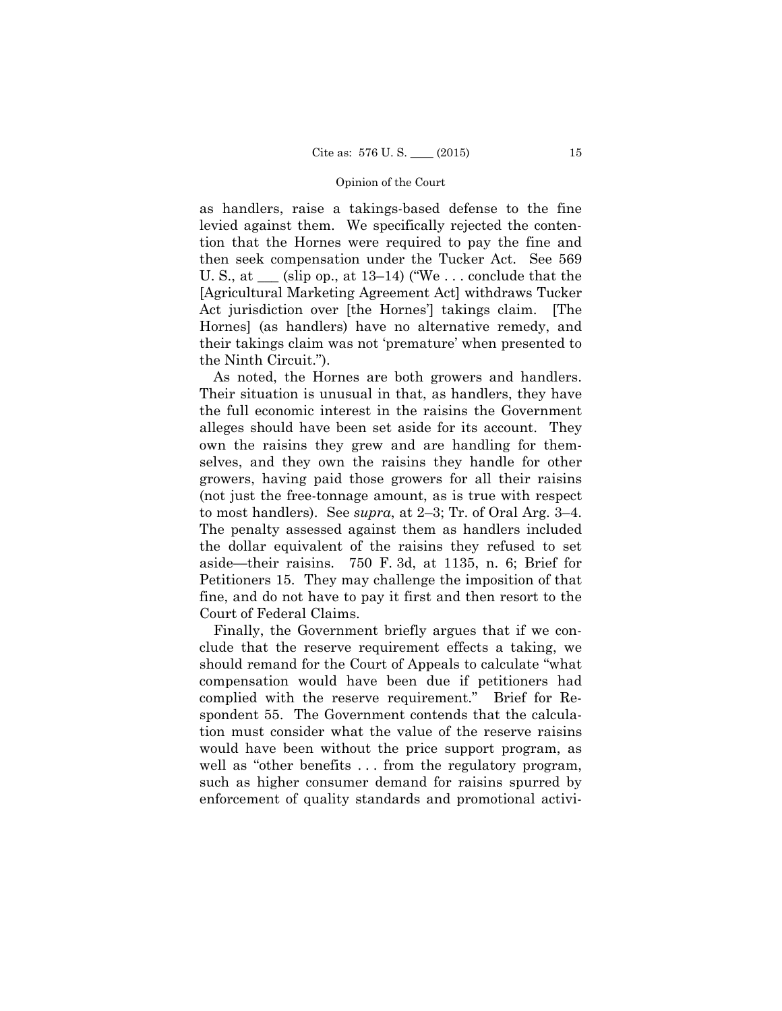as handlers, raise a takings-based defense to the fine levied against them. We specifically rejected the contention that the Hornes were required to pay the fine and then seek compensation under the Tucker Act. See 569 U. S., at  $\_\_\_$ (slip op., at 13–14) ("We  $\ldots$  conclude that the [Agricultural Marketing Agreement Act] withdraws Tucker Act jurisdiction over [the Hornes'] takings claim. [The Hornes] (as handlers) have no alternative remedy, and their takings claim was not 'premature' when presented to the Ninth Circuit.").

As noted, the Hornes are both growers and handlers. Their situation is unusual in that, as handlers, they have the full economic interest in the raisins the Government alleges should have been set aside for its account. They own the raisins they grew and are handling for themselves, and they own the raisins they handle for other growers, having paid those growers for all their raisins (not just the free-tonnage amount, as is true with respect to most handlers). See *supra*, at 2–3; Tr. of Oral Arg. 3–4. The penalty assessed against them as handlers included the dollar equivalent of the raisins they refused to set aside—their raisins. 750 F. 3d, at 1135, n. 6; Brief for Petitioners 15. They may challenge the imposition of that fine, and do not have to pay it first and then resort to the Court of Federal Claims.

Finally, the Government briefly argues that if we conclude that the reserve requirement effects a taking, we should remand for the Court of Appeals to calculate "what compensation would have been due if petitioners had complied with the reserve requirement." Brief for Respondent 55. The Government contends that the calculation must consider what the value of the reserve raisins would have been without the price support program, as well as "other benefits ... from the regulatory program, such as higher consumer demand for raisins spurred by enforcement of quality standards and promotional activi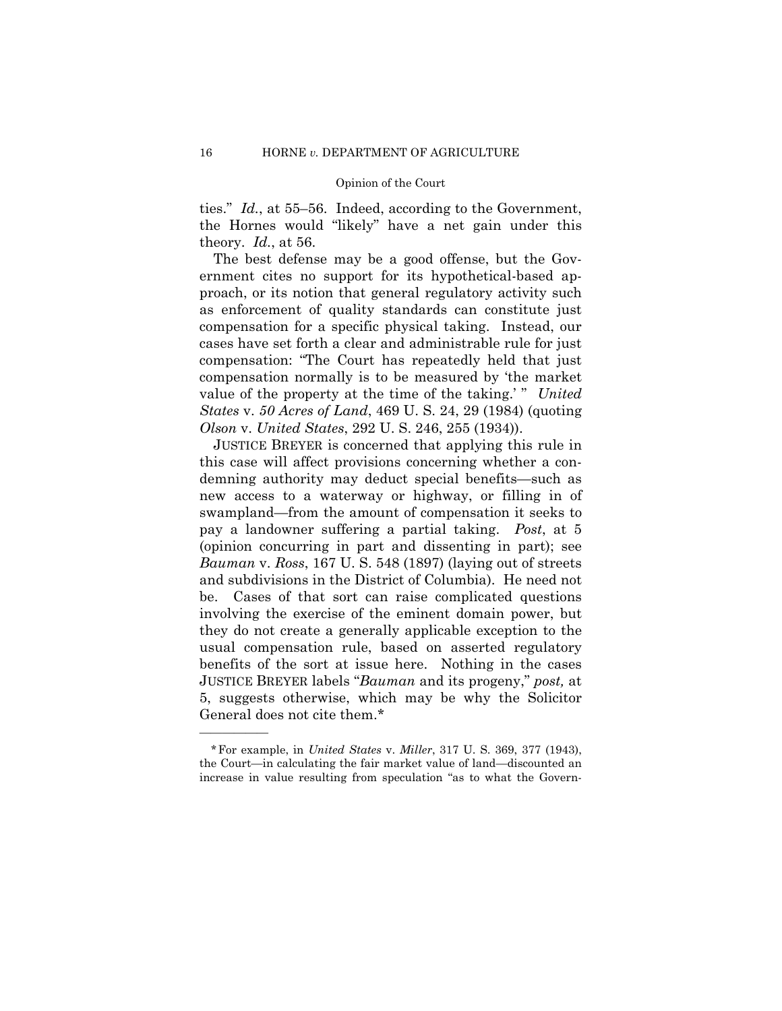ties." *Id.*, at 55–56. Indeed, according to the Government, the Hornes would "likely" have a net gain under this theory. *Id.*, at 56.

The best defense may be a good offense, but the Government cites no support for its hypothetical-based approach, or its notion that general regulatory activity such as enforcement of quality standards can constitute just compensation for a specific physical taking. Instead, our cases have set forth a clear and administrable rule for just compensation: "The Court has repeatedly held that just compensation normally is to be measured by 'the market value of the property at the time of the taking.'" *United States* v. *50 Acres of Land*, 469 U. S. 24, 29 (1984) (quoting *Olson* v. *United States*, 292 U. S. 246, 255 (1934)).

JUSTICE BREYER is concerned that applying this rule in this case will affect provisions concerning whether a condemning authority may deduct special benefits—such as new access to a waterway or highway, or filling in of swampland—from the amount of compensation it seeks to pay a landowner suffering a partial taking. *Post*, at 5 (opinion concurring in part and dissenting in part); see *Bauman* v. *Ross*, 167 U. S. 548 (1897) (laying out of streets and subdivisions in the District of Columbia). He need not be. Cases of that sort can raise complicated questions involving the exercise of the eminent domain power, but they do not create a generally applicable exception to the usual compensation rule, based on asserted regulatory benefits of the sort at issue here. Nothing in the cases JUSTICE BREYER labels "*Bauman* and its progeny," *post,* at 5, suggests otherwise, which may be why the Solicitor General does not cite them.\*

<sup>\*</sup>For example, in *United States* v. *Miller*, 317 U. S. 369, 377 (1943), the Court—in calculating the fair market value of land—discounted an increase in value resulting from speculation "as to what the Govern-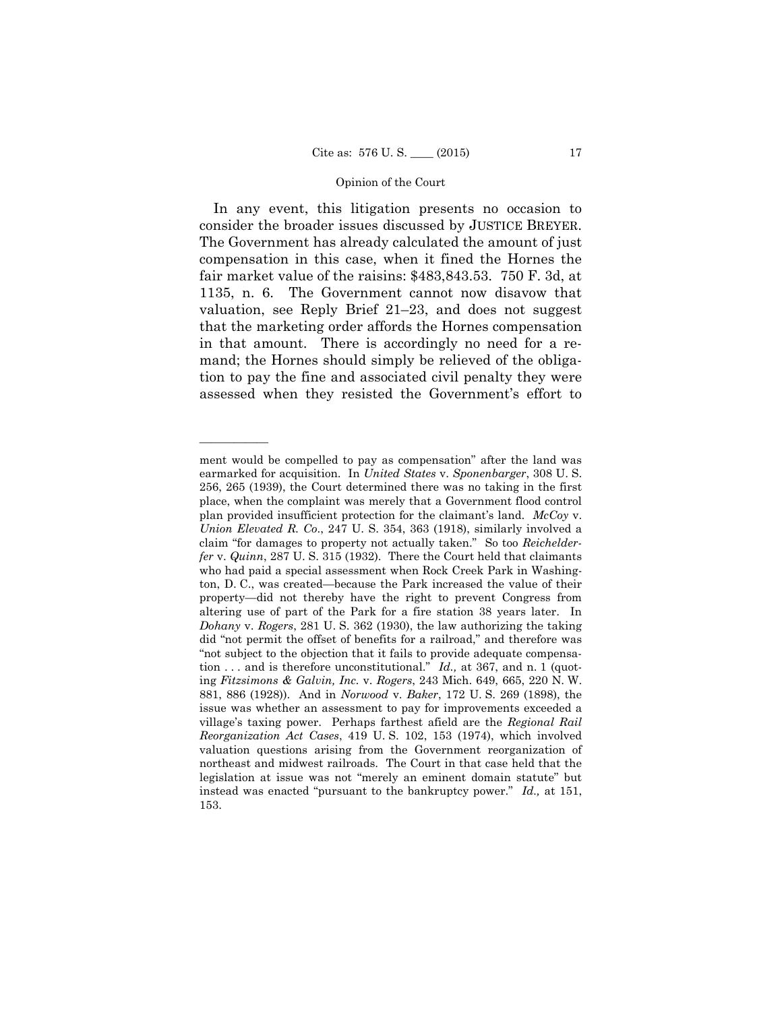In any event, this litigation presents no occasion to consider the broader issues discussed by JUSTICE BREYER. The Government has already calculated the amount of just compensation in this case, when it fined the Hornes the fair market value of the raisins: \$483,843.53. 750 F. 3d, at 1135, n. 6. The Government cannot now disavow that valuation, see Reply Brief 21–23, and does not suggest that the marketing order affords the Hornes compensation in that amount. There is accordingly no need for a remand; the Hornes should simply be relieved of the obligation to pay the fine and associated civil penalty they were assessed when they resisted the Government's effort to

ment would be compelled to pay as compensation" after the land was earmarked for acquisition. In *United States* v. *Sponenbarger*, 308 U. S. 256, 265 (1939), the Court determined there was no taking in the first place, when the complaint was merely that a Government flood control plan provided insufficient protection for the claimant's land. *McCoy* v. *Union Elevated R. Co*., 247 U. S. 354, 363 (1918), similarly involved a claim "for damages to property not actually taken." So too *Reichelderfer* v. *Quinn*, 287 U. S. 315 (1932). There the Court held that claimants who had paid a special assessment when Rock Creek Park in Washington, D. C., was created—because the Park increased the value of their property—did not thereby have the right to prevent Congress from altering use of part of the Park for a fire station 38 years later. In *Dohany* v. *Rogers*, 281 U. S. 362 (1930), the law authorizing the taking did "not permit the offset of benefits for a railroad," and therefore was "not subject to the objection that it fails to provide adequate compensation . . . and is therefore unconstitutional." *Id.,* at 367, and n. 1 (quoting *Fitzsimons & Galvin, Inc.* v. *Rogers*, 243 Mich. 649, 665, 220 N. W. 881, 886 (1928)). And in *Norwood* v. *Baker*, 172 U. S. 269 (1898), the issue was whether an assessment to pay for improvements exceeded a village's taxing power. Perhaps farthest afield are the *Regional Rail Reorganization Act Cases*, 419 U. S. 102, 153 (1974), which involved valuation questions arising from the Government reorganization of northeast and midwest railroads. The Court in that case held that the legislation at issue was not "merely an eminent domain statute" but instead was enacted "pursuant to the bankruptcy power." *Id.,* at 151, 153.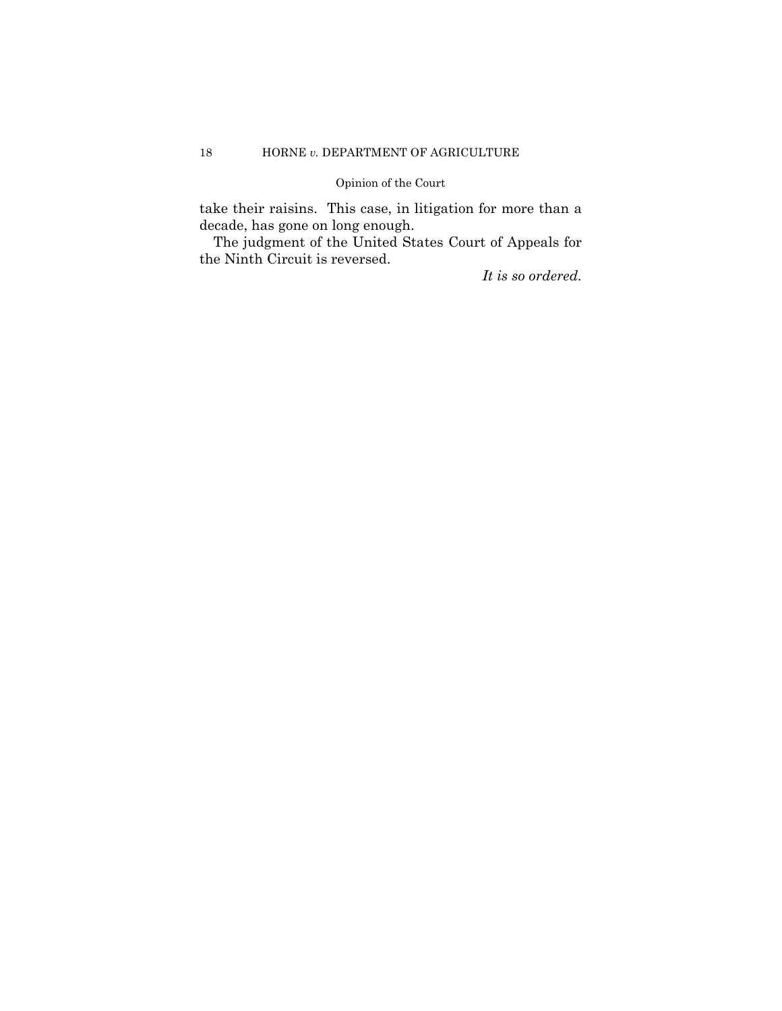take their raisins. This case, in litigation for more than a decade, has gone on long enough.

The judgment of the United States Court of Appeals for the Ninth Circuit is reversed.

*It is so ordered.*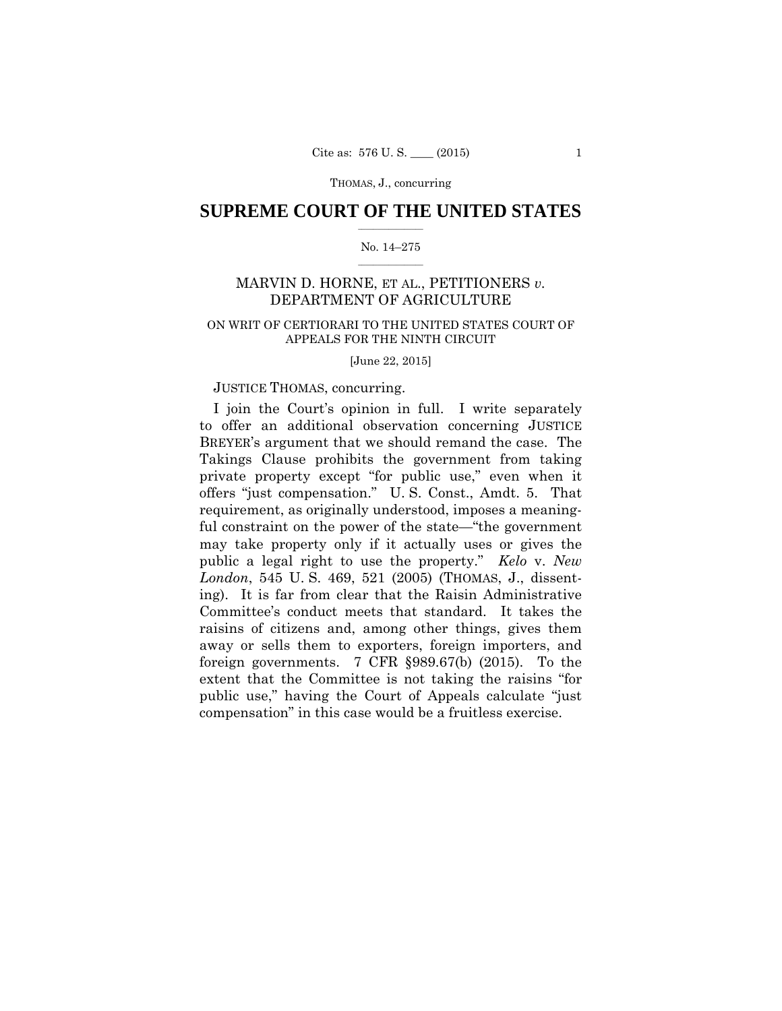THOMAS, J., concurring

# $\frac{1}{2}$  ,  $\frac{1}{2}$  ,  $\frac{1}{2}$  ,  $\frac{1}{2}$  ,  $\frac{1}{2}$  ,  $\frac{1}{2}$  ,  $\frac{1}{2}$ **SUPREME COURT OF THE UNITED STATES**

# $\frac{1}{2}$  ,  $\frac{1}{2}$  ,  $\frac{1}{2}$  ,  $\frac{1}{2}$  ,  $\frac{1}{2}$  ,  $\frac{1}{2}$ No. 14–275

# MARVIN D. HORNE, ET AL., PETITIONERS *v.* DEPARTMENT OF AGRICULTURE

# ON WRIT OF CERTIORARI TO THE UNITED STATES COURT OF APPEALS FOR THE NINTH CIRCUIT

[June 22, 2015]

# JUSTICE THOMAS, concurring.

 public a legal right to use the property." *Kelo* v. *New*  I join the Court's opinion in full. I write separately to offer an additional observation concerning JUSTICE BREYER's argument that we should remand the case. The Takings Clause prohibits the government from taking private property except "for public use," even when it offers "just compensation." U. S. Const., Amdt. 5. That requirement, as originally understood, imposes a meaningful constraint on the power of the state—"the government may take property only if it actually uses or gives the *London*, 545 U. S. 469, 521 (2005) (THOMAS, J., dissenting). It is far from clear that the Raisin Administrative Committee's conduct meets that standard. It takes the raisins of citizens and, among other things, gives them away or sells them to exporters, foreign importers, and foreign governments. 7 CFR §989.67(b) (2015). To the extent that the Committee is not taking the raisins "for public use," having the Court of Appeals calculate "just compensation" in this case would be a fruitless exercise.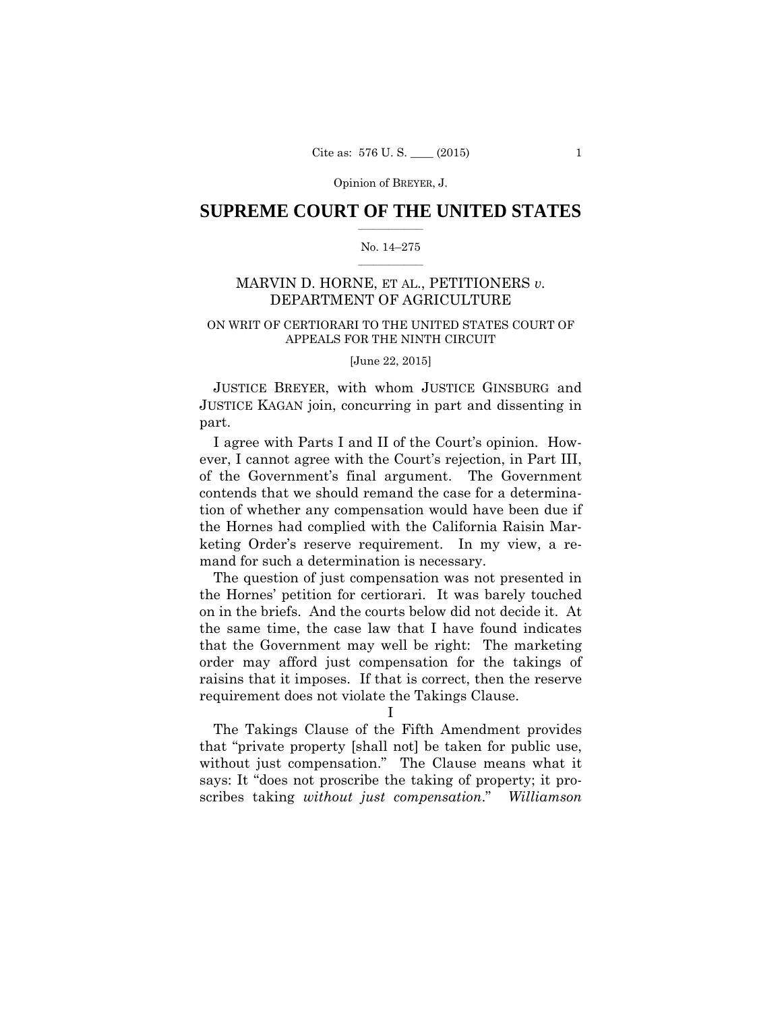# $\frac{1}{2}$  ,  $\frac{1}{2}$  ,  $\frac{1}{2}$  ,  $\frac{1}{2}$  ,  $\frac{1}{2}$  ,  $\frac{1}{2}$  ,  $\frac{1}{2}$ **SUPREME COURT OF THE UNITED STATES**

# $\frac{1}{2}$  ,  $\frac{1}{2}$  ,  $\frac{1}{2}$  ,  $\frac{1}{2}$  ,  $\frac{1}{2}$  ,  $\frac{1}{2}$ No. 14–275

# MARVIN D. HORNE, ET AL., PETITIONERS *v.* DEPARTMENT OF AGRICULTURE

# ON WRIT OF CERTIORARI TO THE UNITED STATES COURT OF APPEALS FOR THE NINTH CIRCUIT

# [June 22, 2015]

JUSTICE BREYER, with whom JUSTICE GINSBURG and JUSTICE KAGAN join, concurring in part and dissenting in part.

I agree with Parts I and II of the Court's opinion. However, I cannot agree with the Court's rejection, in Part III, of the Government's final argument. The Government contends that we should remand the case for a determination of whether any compensation would have been due if the Hornes had complied with the California Raisin Marketing Order's reserve requirement. In my view, a remand for such a determination is necessary.

The question of just compensation was not presented in the Hornes' petition for certiorari. It was barely touched on in the briefs. And the courts below did not decide it. At the same time, the case law that I have found indicates that the Government may well be right: The marketing order may afford just compensation for the takings of raisins that it imposes. If that is correct, then the reserve requirement does not violate the Takings Clause.

I

The Takings Clause of the Fifth Amendment provides that "private property [shall not] be taken for public use, without just compensation." The Clause means what it says: It "does not proscribe the taking of property; it proscribes taking *without just compensation*." *Williamson*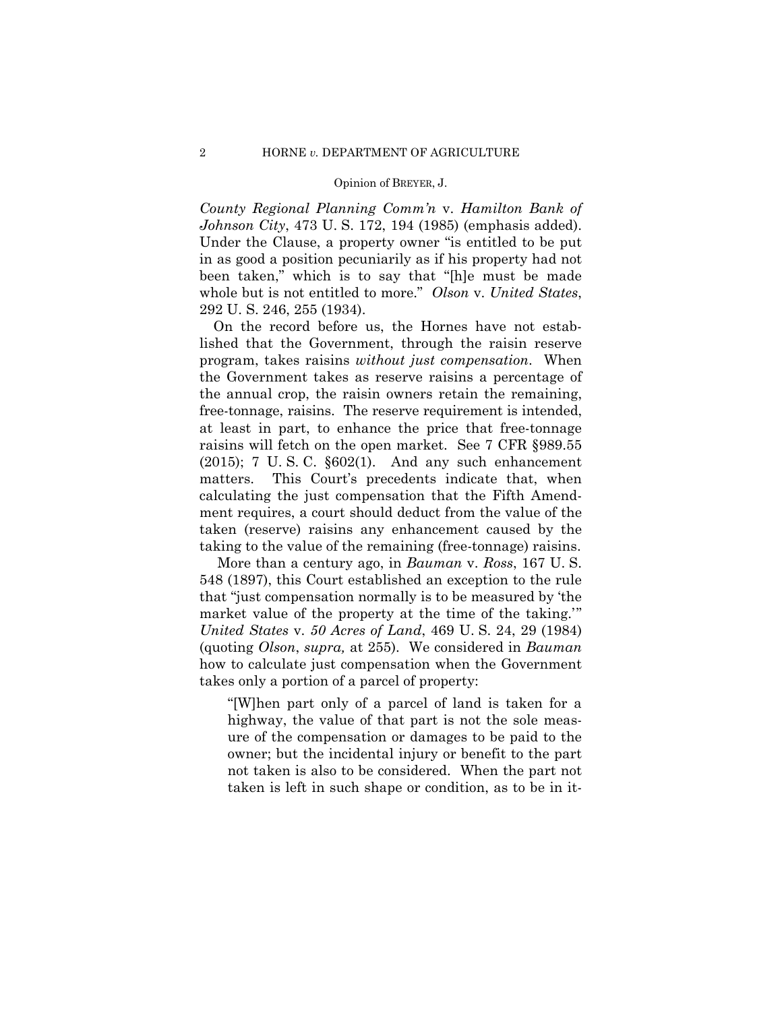*County Regional Planning Comm'n* v. *Hamilton Bank of Johnson City*, 473 U. S. 172, 194 (1985) (emphasis added). Under the Clause, a property owner "is entitled to be put in as good a position pecuniarily as if his property had not been taken," which is to say that "[h]e must be made whole but is not entitled to more." *Olson* v. *United States*, 292 U. S. 246, 255 (1934).

On the record before us, the Hornes have not established that the Government, through the raisin reserve program, takes raisins *without just compensation*. When the Government takes as reserve raisins a percentage of the annual crop, the raisin owners retain the remaining, free-tonnage, raisins. The reserve requirement is intended, at least in part, to enhance the price that free-tonnage raisins will fetch on the open market. See 7 CFR §989.55 (2015); 7 U. S. C. §602(1). And any such enhancement matters. This Court's precedents indicate that, when calculating the just compensation that the Fifth Amendment requires, a court should deduct from the value of the taken (reserve) raisins any enhancement caused by the taking to the value of the remaining (free-tonnage) raisins.

More than a century ago, in *Bauman* v. *Ross*, 167 U. S. 548 (1897), this Court established an exception to the rule that "just compensation normally is to be measured by 'the market value of the property at the time of the taking.'" *United States* v. *50 Acres of Land*, 469 U. S. 24, 29 (1984) (quoting *Olson*, *supra,* at 255). We considered in *Bauman*  how to calculate just compensation when the Government takes only a portion of a parcel of property:

"[W]hen part only of a parcel of land is taken for a highway, the value of that part is not the sole measure of the compensation or damages to be paid to the owner; but the incidental injury or benefit to the part not taken is also to be considered. When the part not taken is left in such shape or condition, as to be in it-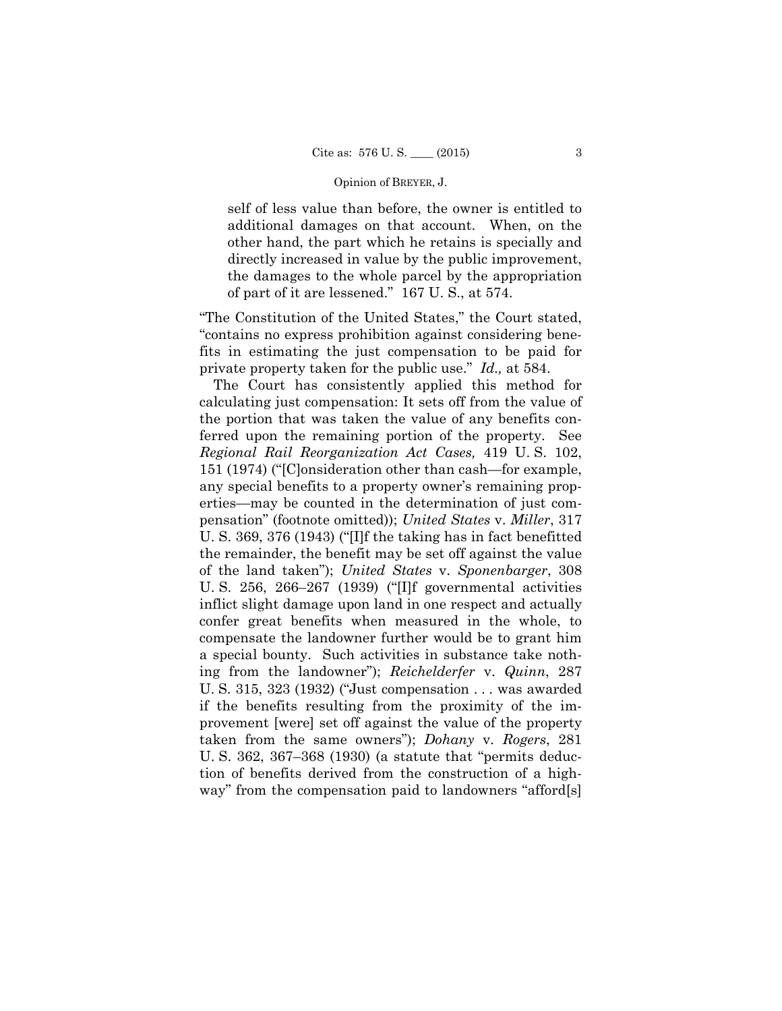self of less value than before, the owner is entitled to additional damages on that account. When, on the other hand, the part which he retains is specially and directly increased in value by the public improvement, the damages to the whole parcel by the appropriation of part of it are lessened." 167 U. S., at 574.

"The Constitution of the United States," the Court stated, "contains no express prohibition against considering benefits in estimating the just compensation to be paid for private property taken for the public use." *Id.,* at 584.

The Court has consistently applied this method for calculating just compensation: It sets off from the value of the portion that was taken the value of any benefits conferred upon the remaining portion of the property. See *Regional Rail Reorganization Act Cases,* 419 U. S. 102, 151 (1974) ("[C]onsideration other than cash—for example, any special benefits to a property owner's remaining properties—may be counted in the determination of just compensation" (footnote omitted)); *United States* v. *Miller*, 317 U. S. 369, 376 (1943) ("[I]f the taking has in fact benefitted the remainder, the benefit may be set off against the value of the land taken"); *United States* v. *Sponenbarger*, 308 U. S. 256, 266–267 (1939) ("[I]f governmental activities inflict slight damage upon land in one respect and actually confer great benefits when measured in the whole, to compensate the landowner further would be to grant him a special bounty. Such activities in substance take nothing from the landowner"); *Reichelderfer* v. *Quinn*, 287 U. S. 315, 323 (1932) ("Just compensation . . . was awarded if the benefits resulting from the proximity of the improvement [were] set off against the value of the property taken from the same owners"); *Dohany* v. *Rogers*, 281 U. S. 362, 367–368 (1930) (a statute that "permits deduction of benefits derived from the construction of a highway" from the compensation paid to landowners "afford[s]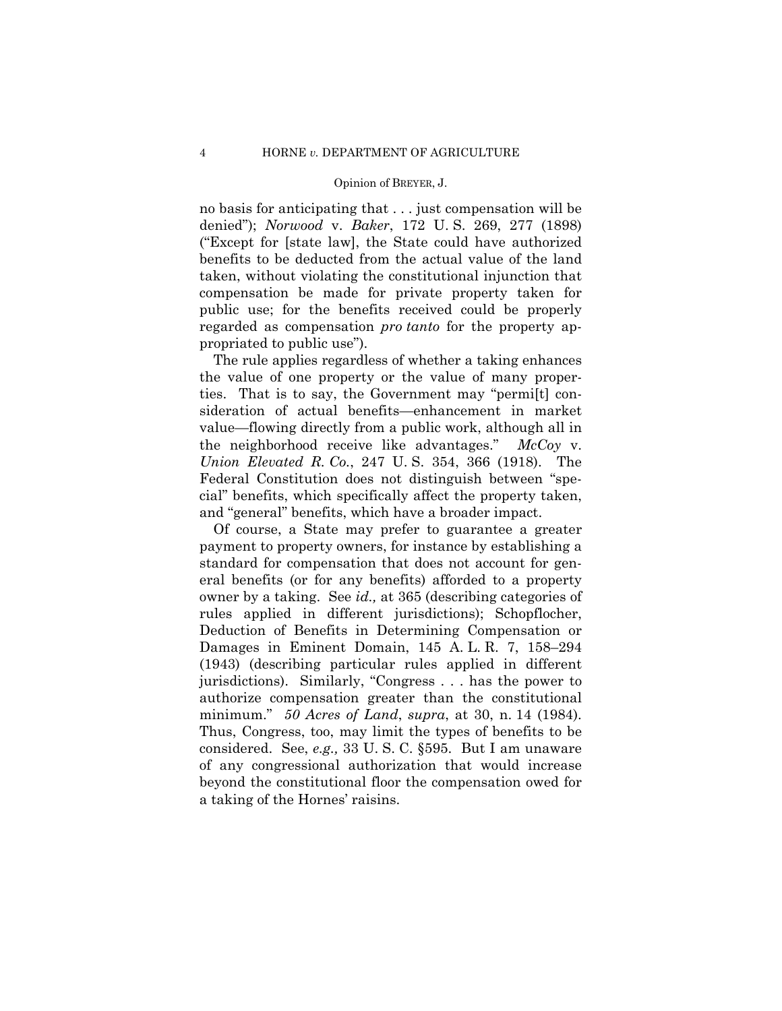no basis for anticipating that . . . just compensation will be denied"); *Norwood* v. *Baker*, 172 U. S. 269, 277 (1898) ("Except for [state law], the State could have authorized benefits to be deducted from the actual value of the land taken, without violating the constitutional injunction that compensation be made for private property taken for public use; for the benefits received could be properly regarded as compensation *pro tanto* for the property appropriated to public use").

 The rule applies regardless of whether a taking enhances the value of one property or the value of many properties. That is to say, the Government may "permi[t] consideration of actual benefits—enhancement in market value—flowing directly from a public work, although all in the neighborhood receive like advantages." *McCoy* v. *Union Elevated R. Co.*, 247 U. S. 354, 366 (1918). The Federal Constitution does not distinguish between "special" benefits, which specifically affect the property taken, and "general" benefits, which have a broader impact.

 minimum." *50 Acres of Land*, *supra*, at 30, n. 14 (1984). Of course, a State may prefer to guarantee a greater payment to property owners, for instance by establishing a standard for compensation that does not account for general benefits (or for any benefits) afforded to a property owner by a taking. See *id.,* at 365 (describing categories of rules applied in different jurisdictions); Schopflocher, Deduction of Benefits in Determining Compensation or Damages in Eminent Domain, 145 A. L. R. 7, 158–294 (1943) (describing particular rules applied in different jurisdictions). Similarly, "Congress . . . has the power to authorize compensation greater than the constitutional Thus, Congress, too, may limit the types of benefits to be considered. See, *e.g.,* 33 U. S. C. §595. But I am unaware of any congressional authorization that would increase beyond the constitutional floor the compensation owed for a taking of the Hornes' raisins.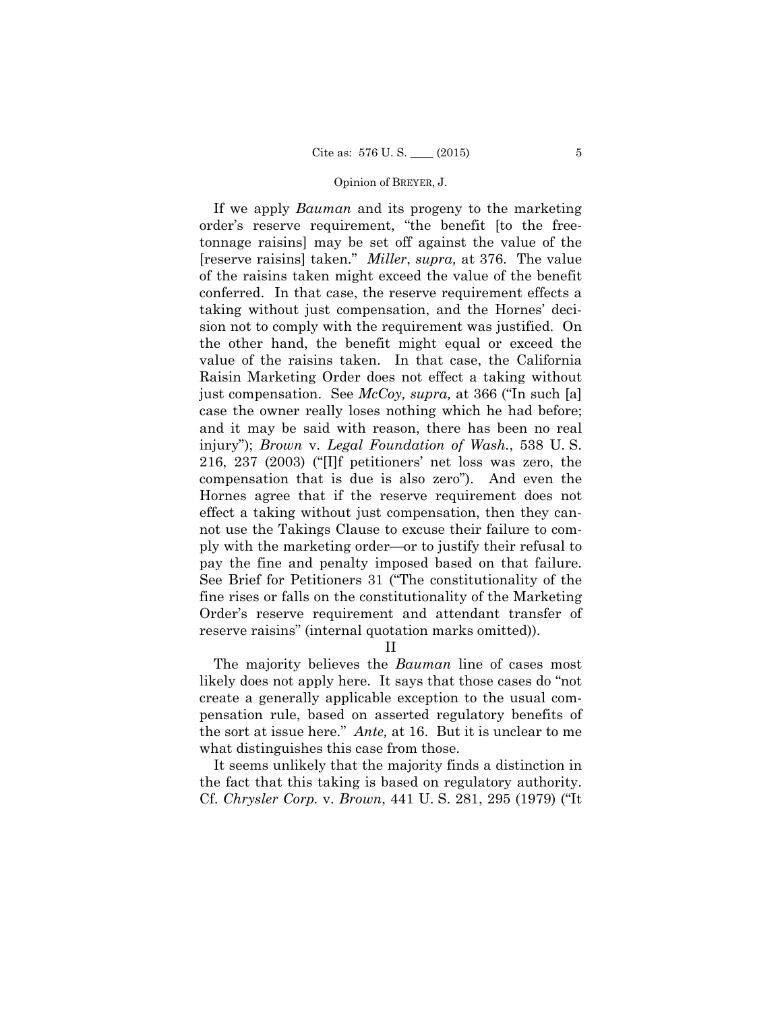compensation that is due is also zero"). And even the pay the fine and penalty imposed based on that failure. If we apply *Bauman* and its progeny to the marketing order's reserve requirement, "the benefit [to the freetonnage raisins] may be set off against the value of the [reserve raisins] taken." *Miller*, *supra,* at 376. The value of the raisins taken might exceed the value of the benefit conferred. In that case, the reserve requirement effects a taking without just compensation, and the Hornes' decision not to comply with the requirement was justified. On the other hand, the benefit might equal or exceed the value of the raisins taken. In that case, the California Raisin Marketing Order does not effect a taking without just compensation. See *McCoy, supra,* at 366 ("In such [a] case the owner really loses nothing which he had before; and it may be said with reason, there has been no real injury"); *Brown* v. *Legal Foundation of Wash.*, 538 U. S. 216, 237 (2003) ("[I]f petitioners' net loss was zero, the Hornes agree that if the reserve requirement does not effect a taking without just compensation, then they cannot use the Takings Clause to excuse their failure to comply with the marketing order—or to justify their refusal to See Brief for Petitioners 31 ("The constitutionality of the fine rises or falls on the constitutionality of the Marketing Order's reserve requirement and attendant transfer of reserve raisins" (internal quotation marks omitted)).

II

The majority believes the *Bauman* line of cases most likely does not apply here. It says that those cases do "not create a generally applicable exception to the usual compensation rule, based on asserted regulatory benefits of the sort at issue here." *Ante,* at 16. But it is unclear to me what distinguishes this case from those.

It seems unlikely that the majority finds a distinction in the fact that this taking is based on regulatory authority. Cf. *Chrysler Corp.* v. *Brown*, 441 U. S. 281, 295 (1979) ("It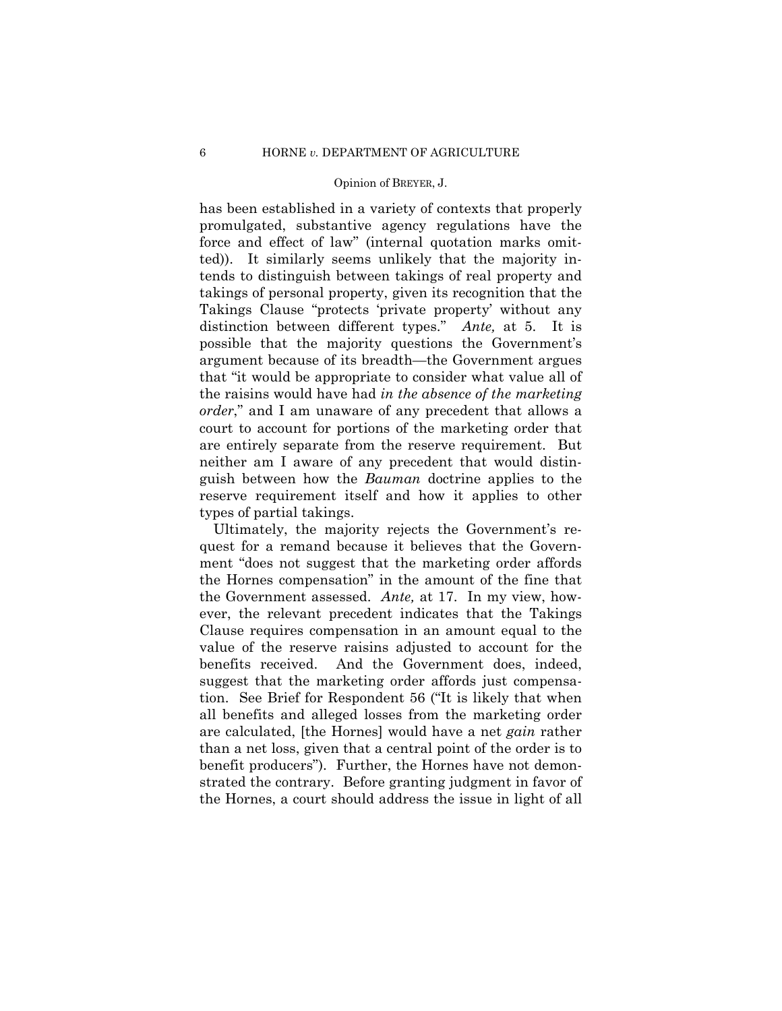has been established in a variety of contexts that properly promulgated, substantive agency regulations have the force and effect of law" (internal quotation marks omitted)). It similarly seems unlikely that the majority intends to distinguish between takings of real property and takings of personal property, given its recognition that the Takings Clause "protects 'private property' without any distinction between different types." *Ante,* at 5. It is possible that the majority questions the Government's argument because of its breadth—the Government argues that "it would be appropriate to consider what value all of the raisins would have had *in the absence of the marketing order*," and I am unaware of any precedent that allows a court to account for portions of the marketing order that are entirely separate from the reserve requirement. But neither am I aware of any precedent that would distinguish between how the *Bauman* doctrine applies to the reserve requirement itself and how it applies to other types of partial takings.

 than a net loss, given that a central point of the order is to Ultimately, the majority rejects the Government's request for a remand because it believes that the Government "does not suggest that the marketing order affords the Hornes compensation" in the amount of the fine that the Government assessed. *Ante,* at 17. In my view, however, the relevant precedent indicates that the Takings Clause requires compensation in an amount equal to the value of the reserve raisins adjusted to account for the benefits received. And the Government does, indeed, suggest that the marketing order affords just compensation. See Brief for Respondent 56 ("It is likely that when all benefits and alleged losses from the marketing order are calculated, [the Hornes] would have a net *gain* rather benefit producers"). Further, the Hornes have not demonstrated the contrary. Before granting judgment in favor of the Hornes, a court should address the issue in light of all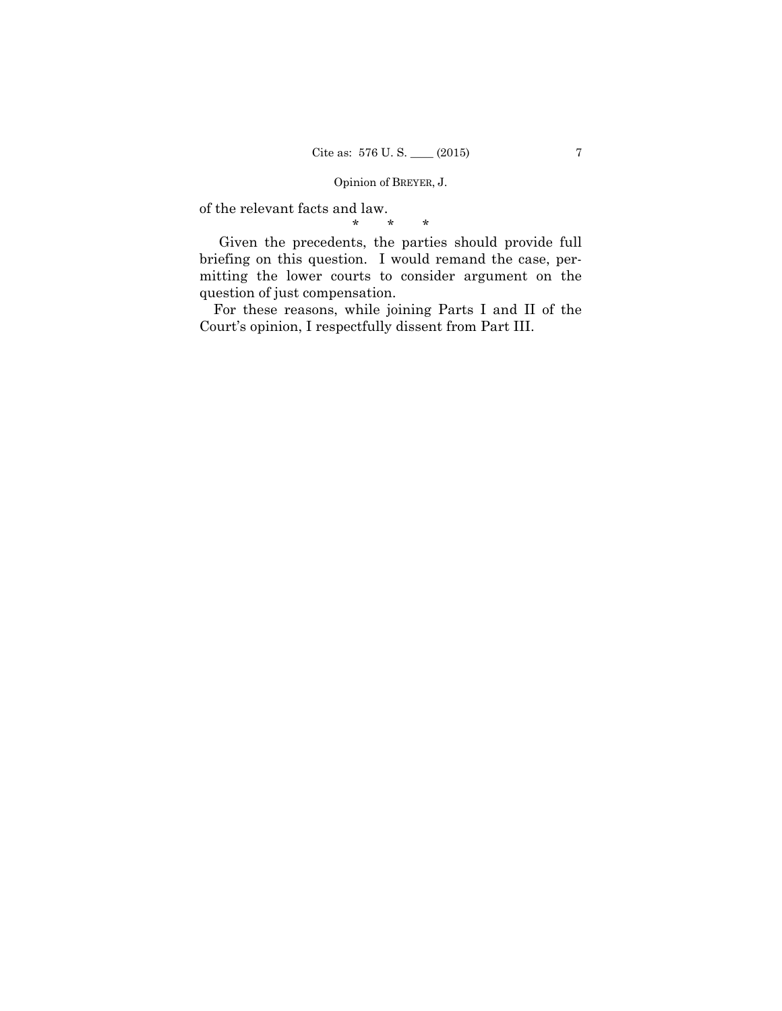of the relevant facts and law.

Given the precedents, the parties should provide full briefing on this question. I would remand the case, permitting the lower courts to consider argument on the question of just compensation.

\* \* \*

For these reasons, while joining Parts I and II of the Court's opinion, I respectfully dissent from Part III.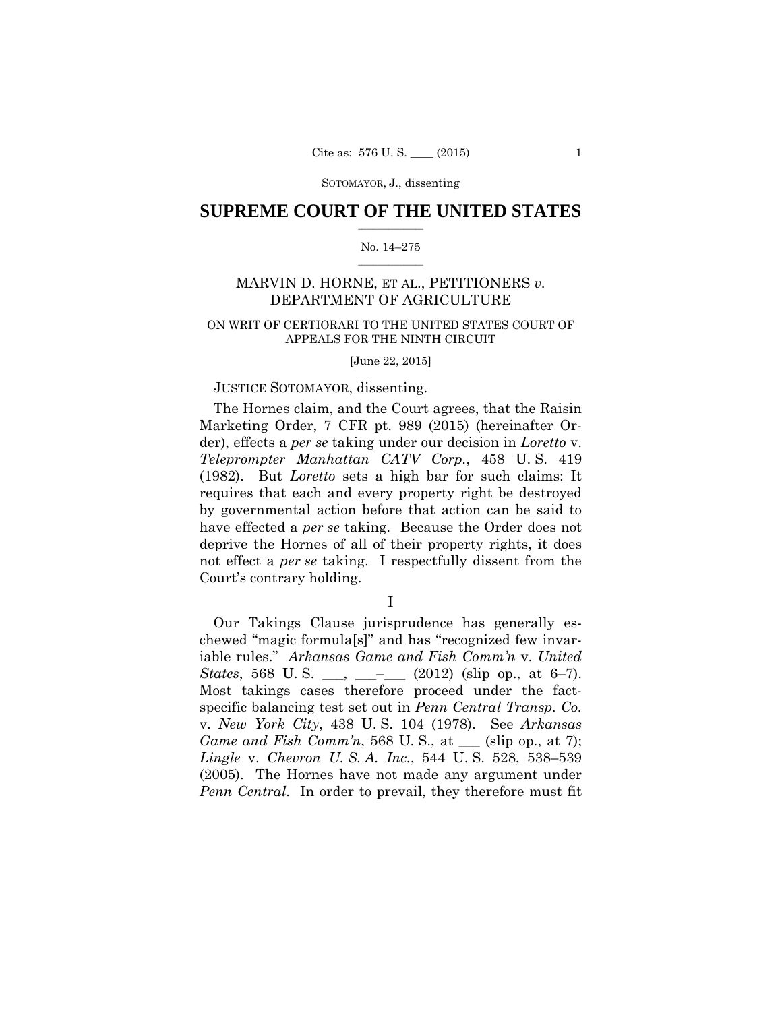# $\frac{1}{2}$  ,  $\frac{1}{2}$  ,  $\frac{1}{2}$  ,  $\frac{1}{2}$  ,  $\frac{1}{2}$  ,  $\frac{1}{2}$  ,  $\frac{1}{2}$ **SUPREME COURT OF THE UNITED STATES**

# $\frac{1}{2}$  ,  $\frac{1}{2}$  ,  $\frac{1}{2}$  ,  $\frac{1}{2}$  ,  $\frac{1}{2}$  ,  $\frac{1}{2}$ No. 14–275

# MARVIN D. HORNE, ET AL., PETITIONERS *v.* DEPARTMENT OF AGRICULTURE

# ON WRIT OF CERTIORARI TO THE UNITED STATES COURT OF APPEALS FOR THE NINTH CIRCUIT

[June 22, 2015]

# JUSTICE SOTOMAYOR, dissenting.

The Hornes claim, and the Court agrees, that the Raisin Marketing Order, 7 CFR pt. 989 (2015) (hereinafter Order), effects a *per se* taking under our decision in *Loretto* v. *Teleprompter Manhattan CATV Corp.*, 458 U. S. 419 (1982). But *Loretto* sets a high bar for such claims: It requires that each and every property right be destroyed by governmental action before that action can be said to have effected a *per se* taking. Because the Order does not deprive the Hornes of all of their property rights, it does not effect a *per se* taking. I respectfully dissent from the Court's contrary holding.

I

Our Takings Clause jurisprudence has generally eschewed "magic formula[s]" and has "recognized few invariable rules." *Arkansas Game and Fish Comm'n* v. *United States*, 568 U.S. \_\_, \_\_\_– (2012) (slip op., at 6–7). Most takings cases therefore proceed under the factspecific balancing test set out in *Penn Central Transp. Co.*  v. *New York City*, 438 U. S. 104 (1978). See *Arkansas Game and Fish Comm'n*, 568 U.S., at \_\_\_ (slip op., at 7); *Lingle* v. *Chevron U. S. A. Inc.*, 544 U. S. 528, 538–539 (2005). The Hornes have not made any argument under *Penn Central*. In order to prevail, they therefore must fit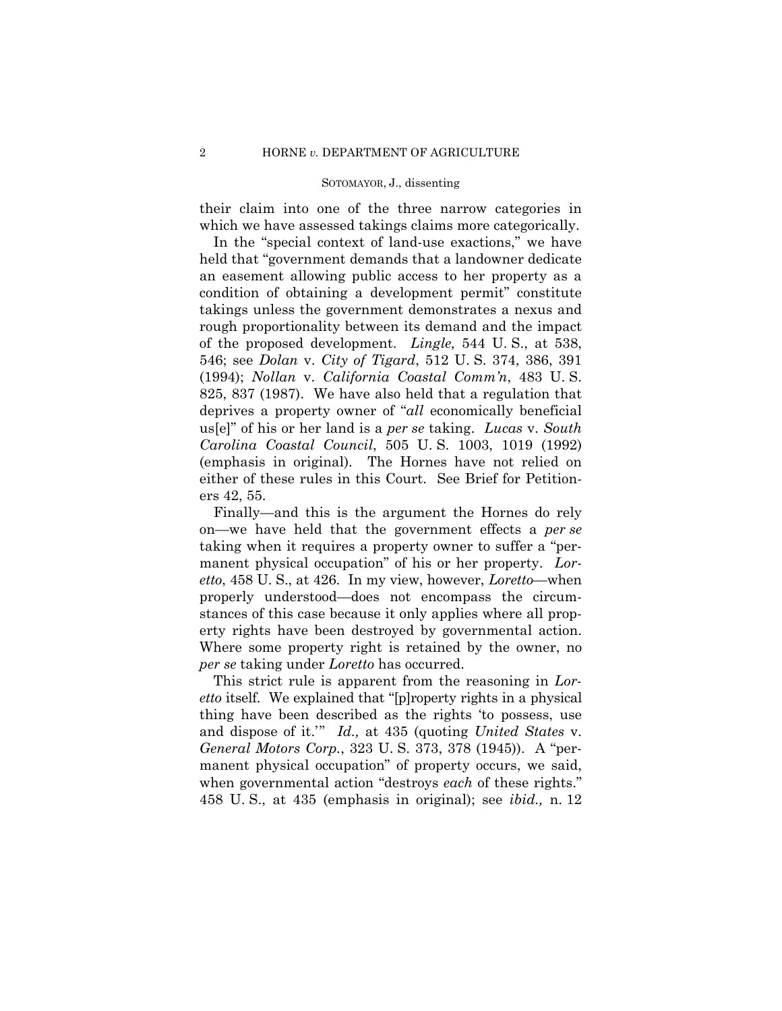their claim into one of the three narrow categories in which we have assessed takings claims more categorically.

 us[e]" of his or her land is a *per se* taking. *Lucas* v. *South*  In the "special context of land-use exactions," we have held that "government demands that a landowner dedicate an easement allowing public access to her property as a condition of obtaining a development permit" constitute takings unless the government demonstrates a nexus and rough proportionality between its demand and the impact of the proposed development. *Lingle,* 544 U. S., at 538, 546; see *Dolan* v. *City of Tigard*, 512 U. S. 374, 386, 391 (1994); *Nollan* v. *California Coastal Comm'n*, 483 U. S. 825, 837 (1987). We have also held that a regulation that deprives a property owner of "*all* economically beneficial *Carolina Coastal Council*, 505 U. S. 1003, 1019 (1992) (emphasis in original). The Hornes have not relied on either of these rules in this Court. See Brief for Petitioners 42, 55.

Finally—and this is the argument the Hornes do rely on—we have held that the government effects a *per se* taking when it requires a property owner to suffer a "permanent physical occupation" of his or her property. *Loretto*, 458 U. S., at 426. In my view, however, *Loretto*—when properly understood—does not encompass the circumstances of this case because it only applies where all property rights have been destroyed by governmental action. Where some property right is retained by the owner, no *per se* taking under *Loretto* has occurred.

This strict rule is apparent from the reasoning in *Loretto* itself. We explained that "[p]roperty rights in a physical thing have been described as the rights 'to possess, use and dispose of it.'" *Id.,* at 435 (quoting *United States* v. *General Motors Corp.*, 323 U. S. 373, 378 (1945)). A "permanent physical occupation" of property occurs, we said, when governmental action "destroys *each* of these rights." 458 U. S., at 435 (emphasis in original); see *ibid.,* n. 12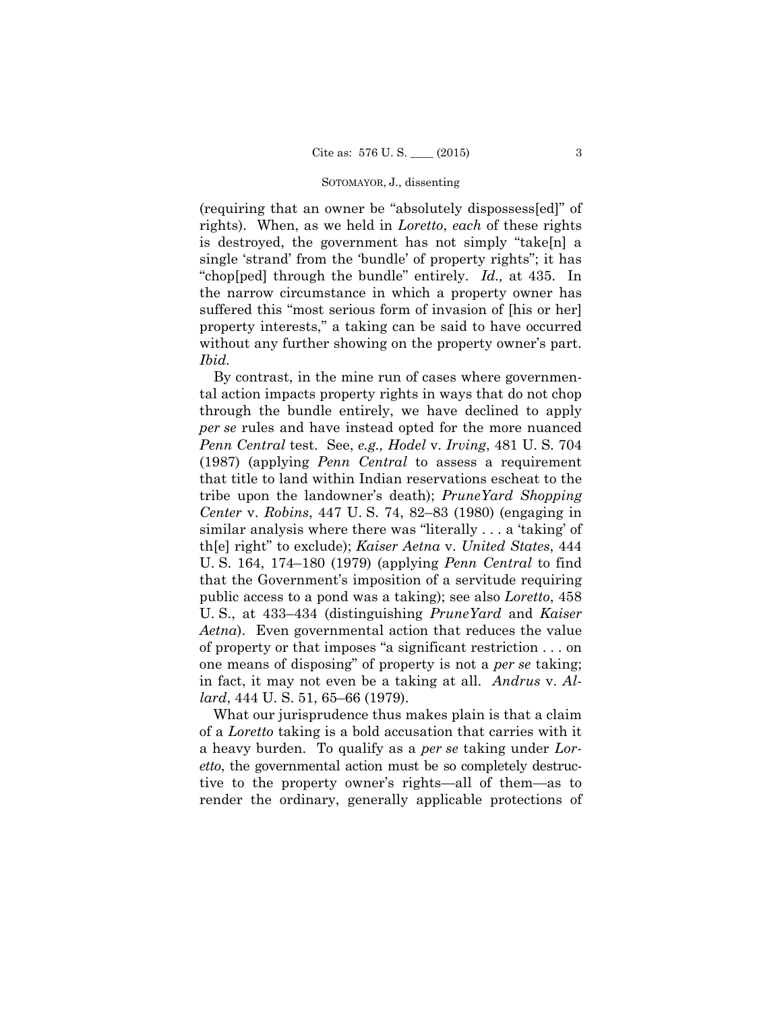(requiring that an owner be "absolutely dispossess[ed]" of rights). When, as we held in *Loretto*, *each* of these rights is destroyed, the government has not simply "take[n] a single 'strand' from the 'bundle' of property rights"; it has "chop[ped] through the bundle" entirely. *Id.,* at 435. In the narrow circumstance in which a property owner has suffered this "most serious form of invasion of [his or her] property interests," a taking can be said to have occurred without any further showing on the property owner's part. *Ibid.* 

 *Aetna*). Even governmental action that reduces the value By contrast, in the mine run of cases where governmental action impacts property rights in ways that do not chop through the bundle entirely, we have declined to apply *per se* rules and have instead opted for the more nuanced *Penn Central* test. See, *e.g., Hodel* v. *Irving*, 481 U. S. 704 (1987) (applying *Penn Central* to assess a requirement that title to land within Indian reservations escheat to the tribe upon the landowner's death); *PruneYard Shopping Center* v. *Robins*, 447 U. S. 74, 82–83 (1980) (engaging in similar analysis where there was "literally . . . a 'taking' of th[e] right" to exclude); *Kaiser Aetna* v. *United States*, 444 U. S. 164, 174–180 (1979) (applying *Penn Central* to find that the Government's imposition of a servitude requiring public access to a pond was a taking); see also *Loretto*, 458 U. S., at 433–434 (distinguishing *PruneYard* and *Kaiser*  of property or that imposes "a significant restriction . . . on one means of disposing" of property is not a *per se* taking; in fact, it may not even be a taking at all. *Andrus* v. *Allard*, 444 U. S. 51, 65–66 (1979).

What our jurisprudence thus makes plain is that a claim of a *Loretto* taking is a bold accusation that carries with it a heavy burden. To qualify as a *per se* taking under *Loretto*, the governmental action must be so completely destructive to the property owner's rights—all of them—as to render the ordinary, generally applicable protections of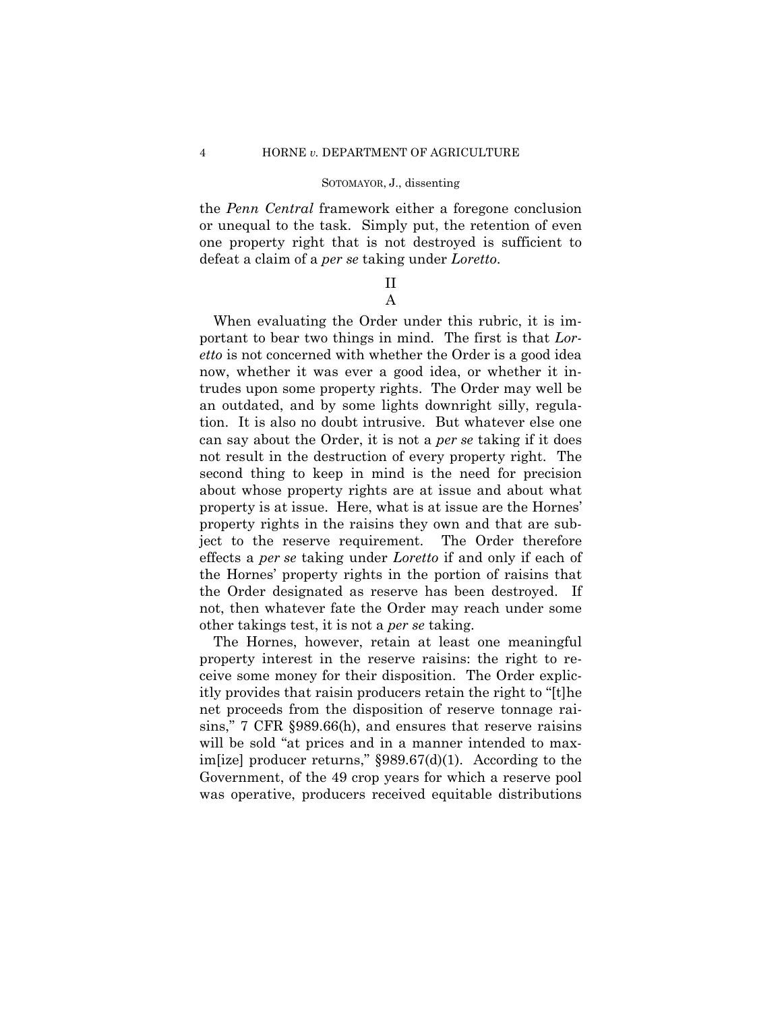the *Penn Central* framework either a foregone conclusion or unequal to the task. Simply put, the retention of even one property right that is not destroyed is sufficient to defeat a claim of a *per se* taking under *Loretto*.

# II A

When evaluating the Order under this rubric, it is important to bear two things in mind. The first is that *Loretto* is not concerned with whether the Order is a good idea now, whether it was ever a good idea, or whether it intrudes upon some property rights. The Order may well be an outdated, and by some lights downright silly, regulation. It is also no doubt intrusive. But whatever else one can say about the Order, it is not a *per se* taking if it does not result in the destruction of every property right. The second thing to keep in mind is the need for precision about whose property rights are at issue and about what property is at issue. Here, what is at issue are the Hornes' property rights in the raisins they own and that are subject to the reserve requirement. The Order therefore effects a *per se* taking under *Loretto* if and only if each of the Hornes' property rights in the portion of raisins that the Order designated as reserve has been destroyed. If not, then whatever fate the Order may reach under some other takings test, it is not a *per se* taking.

The Hornes, however, retain at least one meaningful property interest in the reserve raisins: the right to receive some money for their disposition. The Order explicitly provides that raisin producers retain the right to "[t]he net proceeds from the disposition of reserve tonnage raisins," 7 CFR §989.66(h), and ensures that reserve raisins will be sold "at prices and in a manner intended to maxim[ize] producer returns," §989.67(d)(1). According to the Government, of the 49 crop years for which a reserve pool was operative, producers received equitable distributions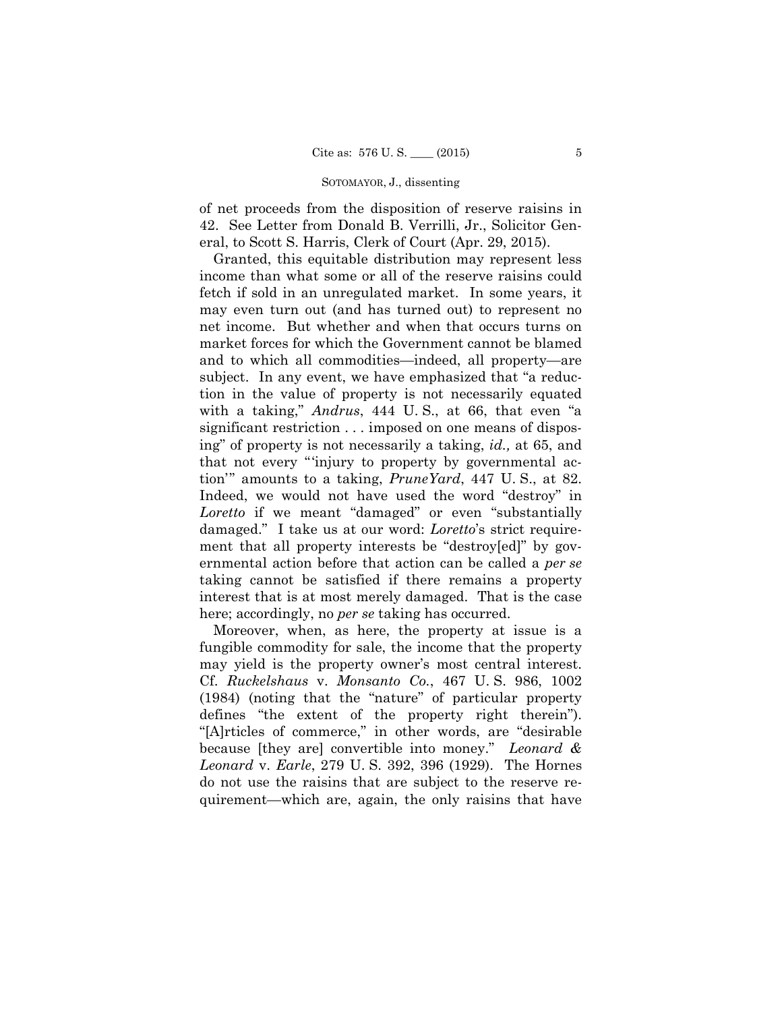of net proceeds from the disposition of reserve raisins in 42. See Letter from Donald B. Verrilli, Jr., Solicitor General, to Scott S. Harris, Clerk of Court (Apr. 29, 2015).

Granted, this equitable distribution may represent less income than what some or all of the reserve raisins could fetch if sold in an unregulated market. In some years, it may even turn out (and has turned out) to represent no net income. But whether and when that occurs turns on market forces for which the Government cannot be blamed and to which all commodities—indeed, all property—are subject. In any event, we have emphasized that "a reduction in the value of property is not necessarily equated with a taking," *Andrus*, 444 U. S., at 66, that even "a significant restriction . . . imposed on one means of disposing" of property is not necessarily a taking, *id.,* at 65, and that not every "'injury to property by governmental action'" amounts to a taking, *PruneYard*, 447 U. S., at 82. Indeed, we would not have used the word "destroy" in *Loretto* if we meant "damaged" or even "substantially damaged." I take us at our word: *Loretto*'s strict requirement that all property interests be "destroy[ed]" by governmental action before that action can be called a *per se*  taking cannot be satisfied if there remains a property interest that is at most merely damaged. That is the case here; accordingly, no *per se* taking has occurred.

Moreover, when, as here, the property at issue is a fungible commodity for sale, the income that the property may yield is the property owner's most central interest. Cf. *Ruckelshaus* v. *Monsanto Co.*, 467 U. S. 986, 1002 (1984) (noting that the "nature" of particular property defines "the extent of the property right therein"). "[A]rticles of commerce," in other words, are "desirable because [they are] convertible into money." *Leonard & Leonard* v. *Earle*, 279 U. S. 392, 396 (1929). The Hornes do not use the raisins that are subject to the reserve requirement—which are, again, the only raisins that have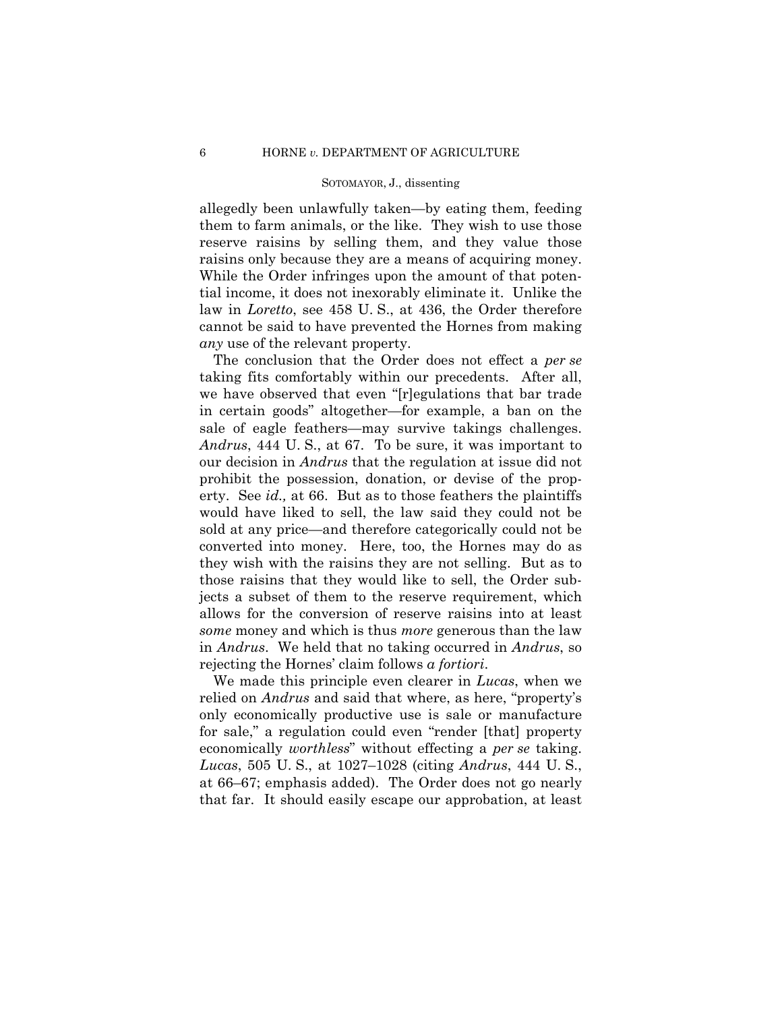allegedly been unlawfully taken—by eating them, feeding them to farm animals, or the like. They wish to use those reserve raisins by selling them, and they value those raisins only because they are a means of acquiring money. While the Order infringes upon the amount of that potential income, it does not inexorably eliminate it. Unlike the law in *Loretto*, see 458 U. S., at 436, the Order therefore cannot be said to have prevented the Hornes from making *any* use of the relevant property.

The conclusion that the Order does not effect a *per se*  taking fits comfortably within our precedents. After all, we have observed that even "[r]egulations that bar trade in certain goods" altogether—for example, a ban on the sale of eagle feathers—may survive takings challenges. *Andrus*, 444 U. S., at 67. To be sure, it was important to our decision in *Andrus* that the regulation at issue did not prohibit the possession, donation, or devise of the property. See *id.,* at 66. But as to those feathers the plaintiffs would have liked to sell, the law said they could not be sold at any price—and therefore categorically could not be converted into money. Here, too, the Hornes may do as they wish with the raisins they are not selling. But as to those raisins that they would like to sell, the Order subjects a subset of them to the reserve requirement, which allows for the conversion of reserve raisins into at least *some* money and which is thus *more* generous than the law in *Andrus*. We held that no taking occurred in *Andrus*, so rejecting the Hornes' claim follows *a fortiori*.

We made this principle even clearer in *Lucas*, when we relied on *Andrus* and said that where, as here, "property's only economically productive use is sale or manufacture for sale," a regulation could even "render [that] property economically *worthless*" without effecting a *per se* taking. *Lucas*, 505 U. S., at 1027–1028 (citing *Andrus*, 444 U. S., at 66–67; emphasis added). The Order does not go nearly that far. It should easily escape our approbation, at least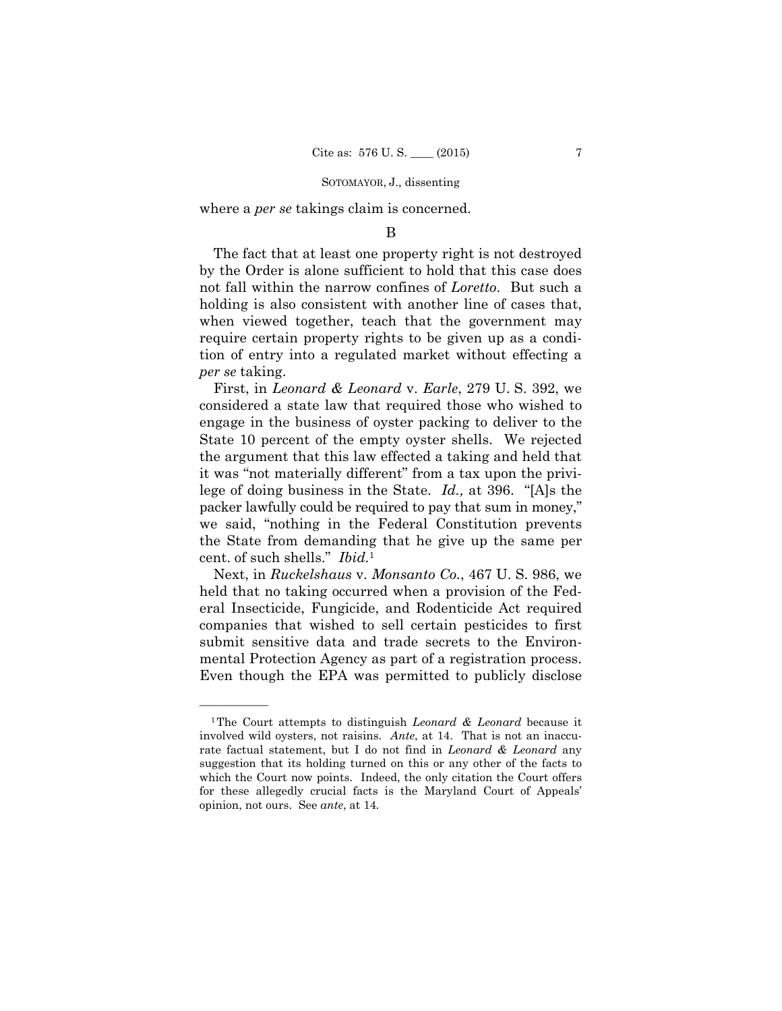where a *per se* takings claim is concerned.

# B

The fact that at least one property right is not destroyed by the Order is alone sufficient to hold that this case does not fall within the narrow confines of *Loretto*. But such a holding is also consistent with another line of cases that, when viewed together, teach that the government may require certain property rights to be given up as a condition of entry into a regulated market without effecting a *per se* taking.

 First, in *Leonard & Leonard* v. *Earle*, 279 U. S. 392, we considered a state law that required those who wished to engage in the business of oyster packing to deliver to the State 10 percent of the empty oyster shells. We rejected the argument that this law effected a taking and held that it was "not materially different" from a tax upon the privilege of doing business in the State. *Id.,* at 396. "[A]s the packer lawfully could be required to pay that sum in money," we said, "nothing in the Federal Constitution prevents the State from demanding that he give up the same per cent. of such shells." *Ibid.*<sup>1</sup>

 Next, in *Ruckelshaus* v. *Monsanto Co.*, 467 U. S. 986, we held that no taking occurred when a provision of the Federal Insecticide, Fungicide, and Rodenticide Act required companies that wished to sell certain pesticides to first submit sensitive data and trade secrets to the Environmental Protection Agency as part of a registration process. Even though the EPA was permitted to publicly disclose

 involved wild oysters, not raisins. *Ante*, at 14. That is not an inaccu-1The Court attempts to distinguish *Leonard & Leonard* because it rate factual statement, but I do not find in *Leonard & Leonard* any suggestion that its holding turned on this or any other of the facts to which the Court now points. Indeed, the only citation the Court offers for these allegedly crucial facts is the Maryland Court of Appeals' opinion, not ours. See *ante*, at 14*.*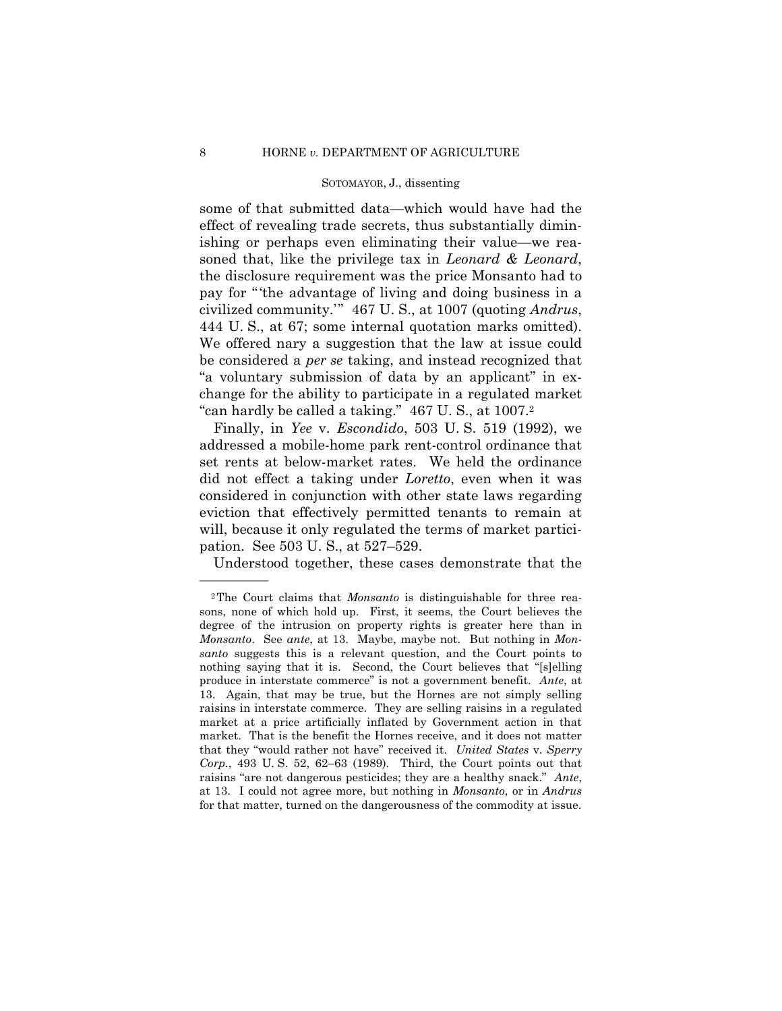some of that submitted data—which would have had the effect of revealing trade secrets, thus substantially diminishing or perhaps even eliminating their value—we reasoned that, like the privilege tax in *Leonard & Leonard*, the disclosure requirement was the price Monsanto had to pay for "'the advantage of living and doing business in a civilized community.'" 467 U. S., at 1007 (quoting *Andrus*, 444 U. S., at 67; some internal quotation marks omitted). We offered nary a suggestion that the law at issue could be considered a *per se* taking, and instead recognized that "a voluntary submission of data by an applicant" in exchange for the ability to participate in a regulated market "can hardly be called a taking." 467 U. S., at 1007.2

 Finally, in *Yee* v. *Escondido*, 503 U. S. 519 (1992), we addressed a mobile-home park rent-control ordinance that set rents at below-market rates. We held the ordinance did not effect a taking under *Loretto*, even when it was considered in conjunction with other state laws regarding eviction that effectively permitted tenants to remain at will, because it only regulated the terms of market participation. See 503 U. S., at 527–529.

Understood together, these cases demonstrate that the

 nothing saying that it is. Second, the Court believes that "[s]elling 2The Court claims that *Monsanto* is distinguishable for three reasons, none of which hold up. First, it seems, the Court believes the degree of the intrusion on property rights is greater here than in *Monsanto*. See *ante*, at 13. Maybe, maybe not. But nothing in *Monsanto* suggests this is a relevant question, and the Court points to produce in interstate commerce" is not a government benefit. *Ante*, at 13. Again, that may be true, but the Hornes are not simply selling raisins in interstate commerce. They are selling raisins in a regulated market at a price artificially inflated by Government action in that market. That is the benefit the Hornes receive, and it does not matter that they "would rather not have" received it. *United States* v. *Sperry Corp.*, 493 U. S. 52, 62–63 (1989). Third, the Court points out that raisins "are not dangerous pesticides; they are a healthy snack." *Ante*, at 13. I could not agree more, but nothing in *Monsanto*, or in *Andrus*  for that matter, turned on the dangerousness of the commodity at issue.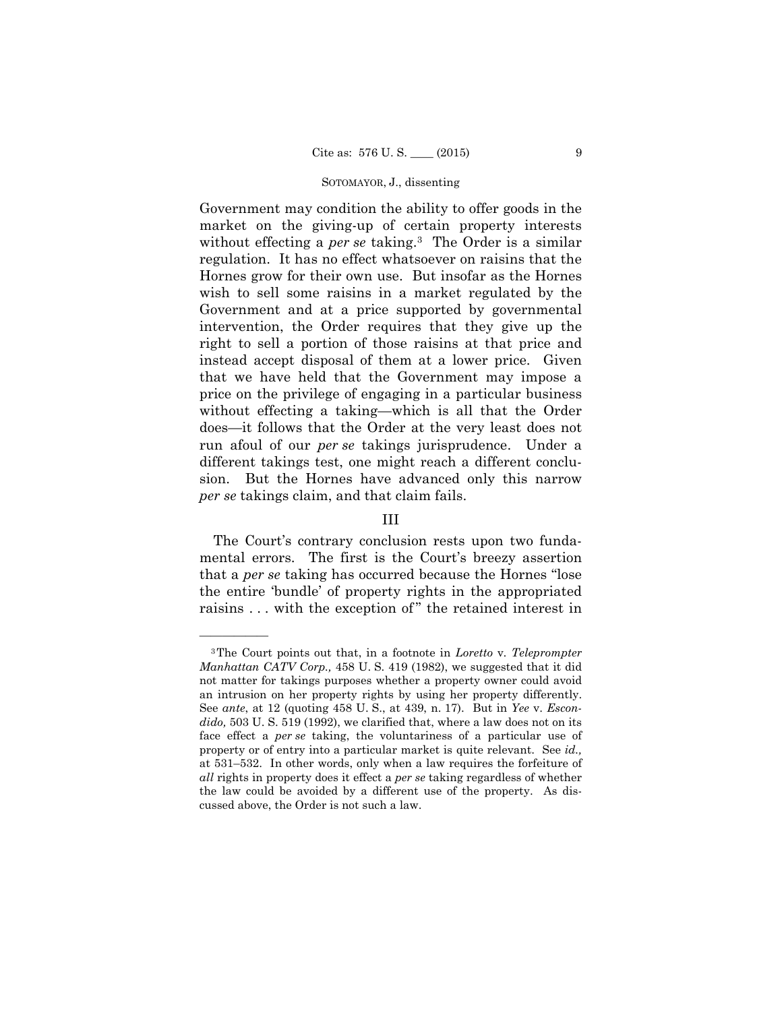Government may condition the ability to offer goods in the market on the giving-up of certain property interests without effecting a *per se* taking.<sup>3</sup> The Order is a similar regulation. It has no effect whatsoever on raisins that the Hornes grow for their own use. But insofar as the Hornes wish to sell some raisins in a market regulated by the Government and at a price supported by governmental intervention, the Order requires that they give up the right to sell a portion of those raisins at that price and instead accept disposal of them at a lower price. Given that we have held that the Government may impose a price on the privilege of engaging in a particular business without effecting a taking—which is all that the Order does—it follows that the Order at the very least does not run afoul of our *per se* takings jurisprudence. Under a different takings test, one might reach a different conclusion. But the Hornes have advanced only this narrow *per se* takings claim, and that claim fails.

# III

The Court's contrary conclusion rests upon two fundamental errors. The first is the Court's breezy assertion that a *per se* taking has occurred because the Hornes "lose the entire 'bundle' of property rights in the appropriated raisins . . . with the exception of " the retained interest in

 an intrusion on her property rights by using her property differently. 3The Court points out that, in a footnote in *Loretto* v*. Teleprompter Manhattan CATV Corp.,* 458 U. S. 419 (1982), we suggested that it did not matter for takings purposes whether a property owner could avoid See *ante*, at 12 (quoting 458 U. S., at 439, n. 17). But in *Yee* v. *Escondido,* 503 U. S. 519 (1992), we clarified that, where a law does not on its face effect a *per se* taking, the voluntariness of a particular use of property or of entry into a particular market is quite relevant. See *id.,*  at 531–532. In other words, only when a law requires the forfeiture of *all* rights in property does it effect a *per se* taking regardless of whether the law could be avoided by a different use of the property. As discussed above, the Order is not such a law.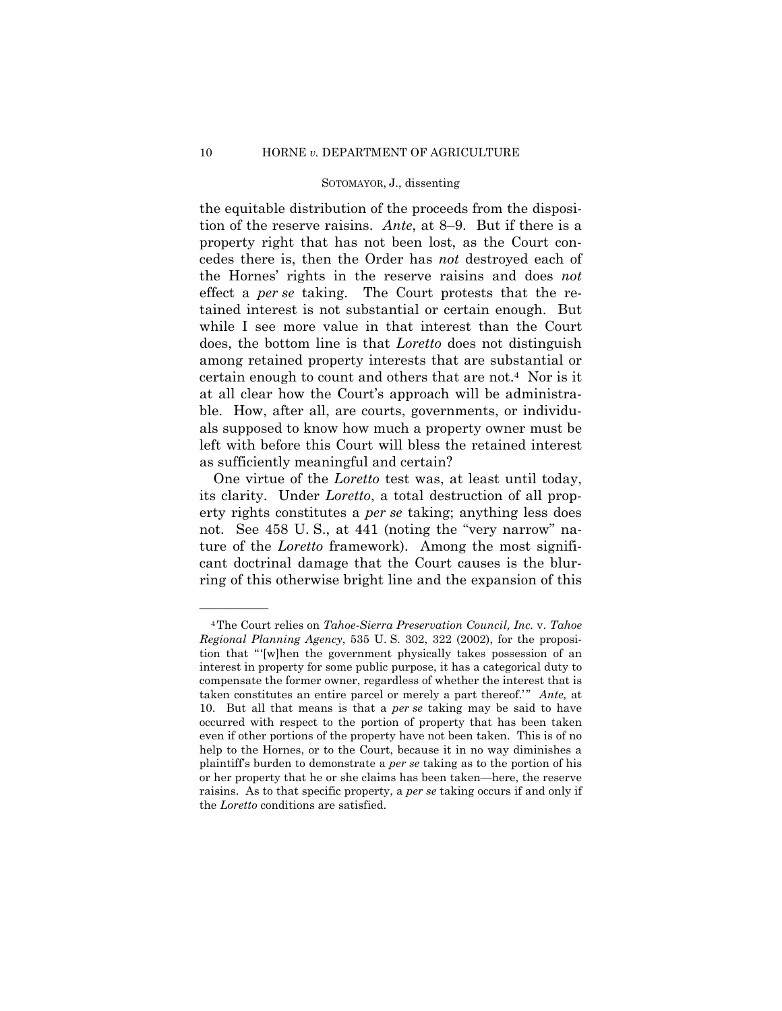the equitable distribution of the proceeds from the disposition of the reserve raisins. *Ante*, at 8–9. But if there is a property right that has not been lost, as the Court concedes there is, then the Order has *not* destroyed each of the Hornes' rights in the reserve raisins and does *not*  effect a *per se* taking. The Court protests that the retained interest is not substantial or certain enough. But while I see more value in that interest than the Court does, the bottom line is that *Loretto* does not distinguish among retained property interests that are substantial or certain enough to count and others that are not.4 Nor is it at all clear how the Court's approach will be administrable. How, after all, are courts, governments, or individuals supposed to know how much a property owner must be left with before this Court will bless the retained interest as sufficiently meaningful and certain?

One virtue of the *Loretto* test was, at least until today, its clarity. Under *Loretto*, a total destruction of all property rights constitutes a *per se* taking; anything less does not. See 458 U. S., at 441 (noting the "very narrow" nature of the *Loretto* framework). Among the most significant doctrinal damage that the Court causes is the blurring of this otherwise bright line and the expansion of this

<sup>4</sup>The Court relies on *Tahoe-Sierra Preservation Council, Inc.* v. *Tahoe Regional Planning Agency*, 535 U. S. 302, 322 (2002), for the proposition that "'[w]hen the government physically takes possession of an interest in property for some public purpose, it has a categorical duty to compensate the former owner, regardless of whether the interest that is taken constitutes an entire parcel or merely a part thereof." Ante, at 10. But all that means is that a *per se* taking may be said to have occurred with respect to the portion of property that has been taken even if other portions of the property have not been taken. This is of no help to the Hornes, or to the Court, because it in no way diminishes a plaintiff's burden to demonstrate a *per se* taking as to the portion of his or her property that he or she claims has been taken—here, the reserve raisins. As to that specific property, a *per se* taking occurs if and only if the *Loretto* conditions are satisfied.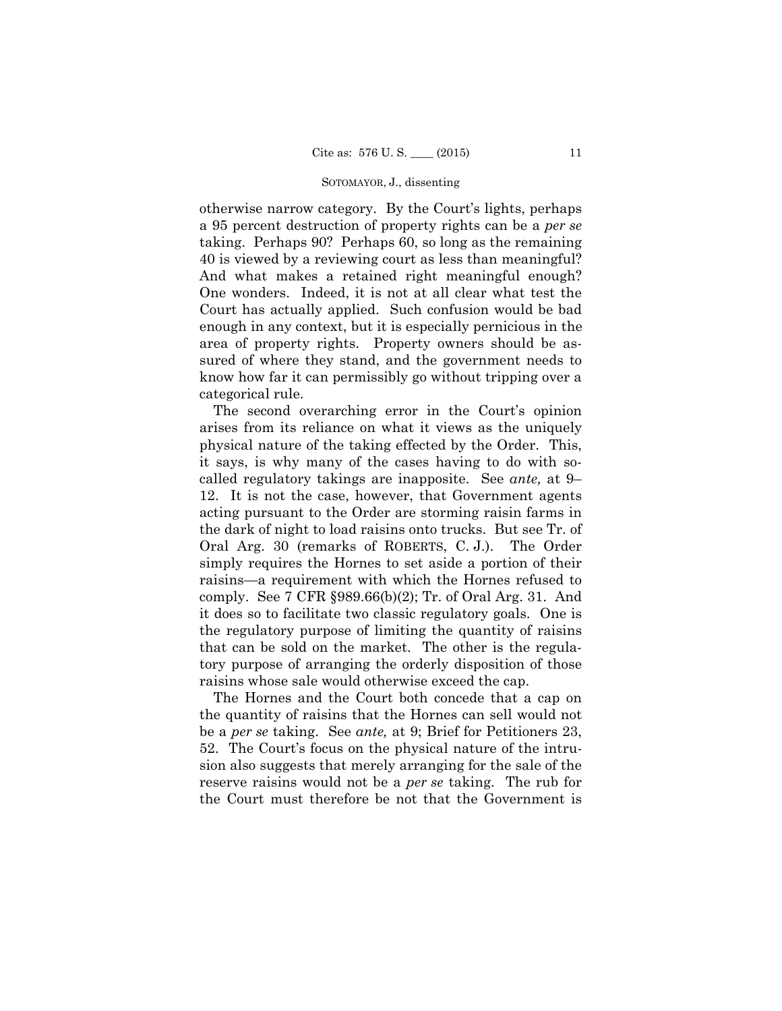otherwise narrow category. By the Court's lights, perhaps a 95 percent destruction of property rights can be a *per se*  taking. Perhaps 90? Perhaps 60, so long as the remaining 40 is viewed by a reviewing court as less than meaningful? And what makes a retained right meaningful enough? One wonders. Indeed, it is not at all clear what test the Court has actually applied. Such confusion would be bad enough in any context, but it is especially pernicious in the area of property rights. Property owners should be assured of where they stand, and the government needs to know how far it can permissibly go without tripping over a categorical rule.

The second overarching error in the Court's opinion arises from its reliance on what it views as the uniquely physical nature of the taking effected by the Order. This, it says, is why many of the cases having to do with socalled regulatory takings are inapposite. See *ante,* at 9– 12. It is not the case, however, that Government agents acting pursuant to the Order are storming raisin farms in the dark of night to load raisins onto trucks. But see Tr. of Oral Arg. 30 (remarks of ROBERTS, C. J.). The Order simply requires the Hornes to set aside a portion of their raisins—a requirement with which the Hornes refused to comply. See 7 CFR §989.66(b)(2); Tr. of Oral Arg. 31. And it does so to facilitate two classic regulatory goals. One is the regulatory purpose of limiting the quantity of raisins that can be sold on the market. The other is the regulatory purpose of arranging the orderly disposition of those raisins whose sale would otherwise exceed the cap.

The Hornes and the Court both concede that a cap on the quantity of raisins that the Hornes can sell would not be a *per se* taking. See *ante,* at 9; Brief for Petitioners 23, 52. The Court's focus on the physical nature of the intrusion also suggests that merely arranging for the sale of the reserve raisins would not be a *per se* taking. The rub for the Court must therefore be not that the Government is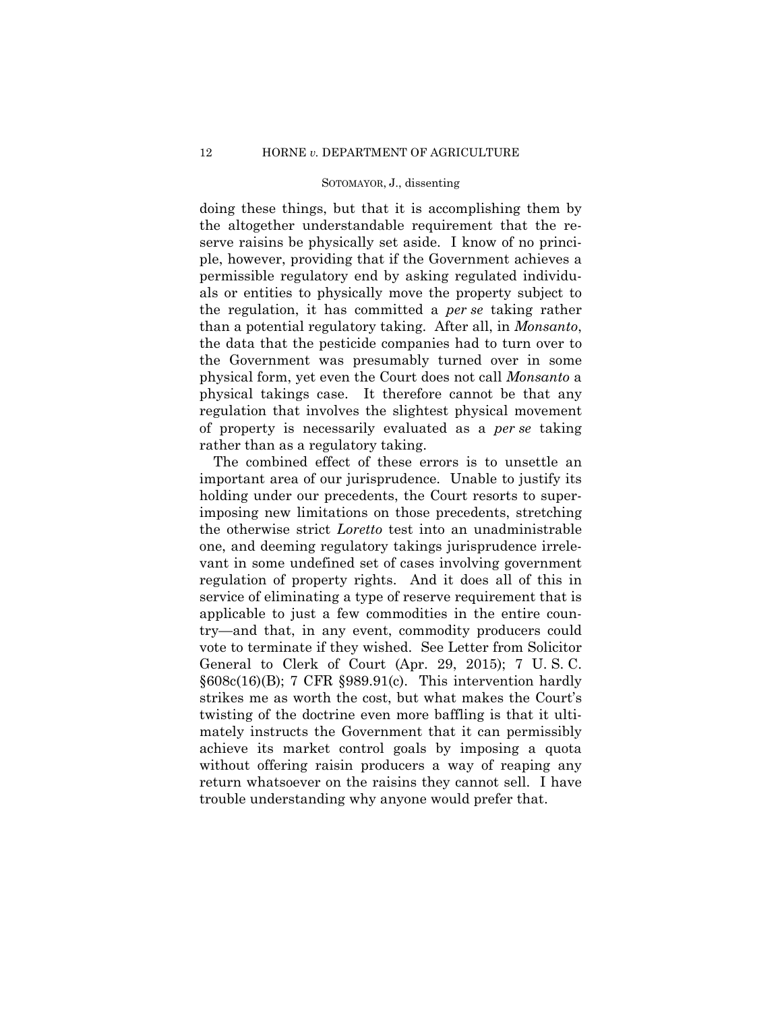doing these things, but that it is accomplishing them by the altogether understandable requirement that the reserve raisins be physically set aside. I know of no principle, however, providing that if the Government achieves a permissible regulatory end by asking regulated individuals or entities to physically move the property subject to the regulation, it has committed a *per se* taking rather than a potential regulatory taking. After all, in *Monsanto*, the data that the pesticide companies had to turn over to the Government was presumably turned over in some physical form, yet even the Court does not call *Monsanto* a physical takings case. It therefore cannot be that any regulation that involves the slightest physical movement of property is necessarily evaluated as a *per se* taking rather than as a regulatory taking.

The combined effect of these errors is to unsettle an important area of our jurisprudence. Unable to justify its holding under our precedents, the Court resorts to superimposing new limitations on those precedents, stretching the otherwise strict *Loretto* test into an unadministrable one, and deeming regulatory takings jurisprudence irrelevant in some undefined set of cases involving government regulation of property rights. And it does all of this in service of eliminating a type of reserve requirement that is applicable to just a few commodities in the entire country—and that, in any event, commodity producers could vote to terminate if they wished. See Letter from Solicitor General to Clerk of Court (Apr. 29, 2015); 7 U. S. C. §608c(16)(B); 7 CFR §989.91(c). This intervention hardly strikes me as worth the cost, but what makes the Court's twisting of the doctrine even more baffling is that it ultimately instructs the Government that it can permissibly achieve its market control goals by imposing a quota without offering raisin producers a way of reaping any return whatsoever on the raisins they cannot sell. I have trouble understanding why anyone would prefer that.